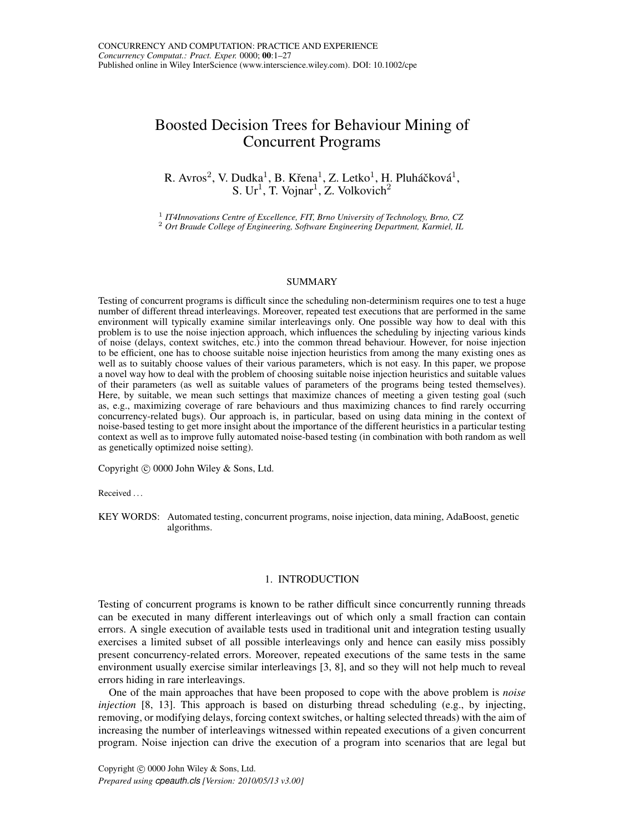# Boosted Decision Trees for Behaviour Mining of Concurrent Programs

R. Avros<sup>2</sup>, V. Dudka<sup>1</sup>, B. Křena<sup>1</sup>, Z. Letko<sup>1</sup>, H. Pluháčková<sup>1</sup>, S. Ur<sup>1</sup>, T. Vojnar<sup>1</sup>, Z. Volkovich<sup>2</sup>

1 *IT4Innovations Centre of Excellence, FIT, Brno University of Technology, Brno, CZ* <sup>2</sup> *Ort Braude College of Engineering, Software Engineering Department, Karmiel, IL*

#### SUMMARY

Testing of concurrent programs is difficult since the scheduling non-determinism requires one to test a huge number of different thread interleavings. Moreover, repeated test executions that are performed in the same environment will typically examine similar interleavings only. One possible way how to deal with this problem is to use the noise injection approach, which influences the scheduling by injecting various kinds of noise (delays, context switches, etc.) into the common thread behaviour. However, for noise injection to be efficient, one has to choose suitable noise injection heuristics from among the many existing ones as well as to suitably choose values of their various parameters, which is not easy. In this paper, we propose a novel way how to deal with the problem of choosing suitable noise injection heuristics and suitable values of their parameters (as well as suitable values of parameters of the programs being tested themselves). Here, by suitable, we mean such settings that maximize chances of meeting a given testing goal (such as, e.g., maximizing coverage of rare behaviours and thus maximizing chances to find rarely occurring concurrency-related bugs). Our approach is, in particular, based on using data mining in the context of noise-based testing to get more insight about the importance of the different heuristics in a particular testing context as well as to improve fully automated noise-based testing (in combination with both random as well as genetically optimized noise setting).

Copyright © 0000 John Wiley & Sons, Ltd.

Received . . .

KEY WORDS: Automated testing, concurrent programs, noise injection, data mining, AdaBoost, genetic algorithms.

#### 1. INTRODUCTION

Testing of concurrent programs is known to be rather difficult since concurrently running threads can be executed in many different interleavings out of which only a small fraction can contain errors. A single execution of available tests used in traditional unit and integration testing usually exercises a limited subset of all possible interleavings only and hence can easily miss possibly present concurrency-related errors. Moreover, repeated executions of the same tests in the same environment usually exercise similar interleavings [3, 8], and so they will not help much to reveal errors hiding in rare interleavings.

One of the main approaches that have been proposed to cope with the above problem is *noise injection* [8, 13]. This approach is based on disturbing thread scheduling (e.g., by injecting, removing, or modifying delays, forcing context switches, or halting selected threads) with the aim of increasing the number of interleavings witnessed within repeated executions of a given concurrent program. Noise injection can drive the execution of a program into scenarios that are legal but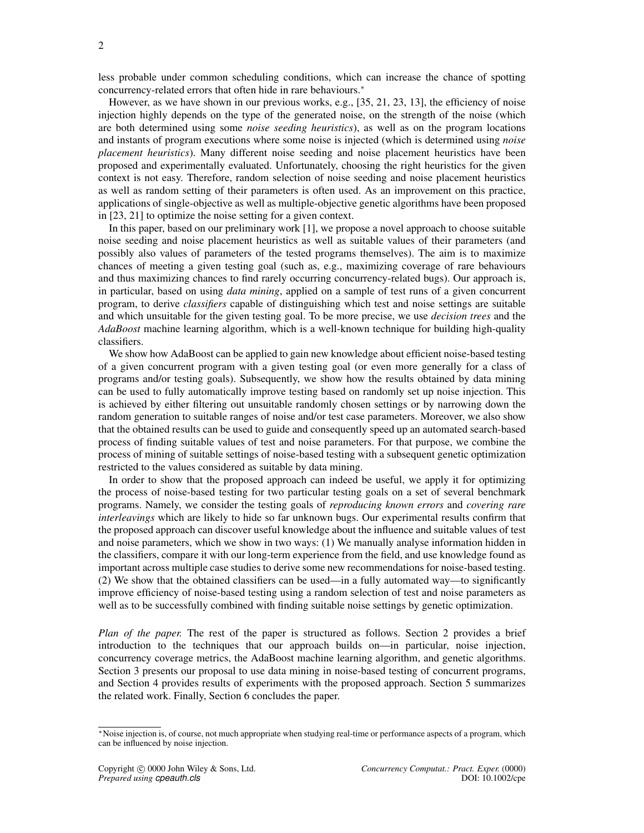less probable under common scheduling conditions, which can increase the chance of spotting concurrency-related errors that often hide in rare behaviours.<sup>\*</sup>

However, as we have shown in our previous works, e.g., [35, 21, 23, 13], the efficiency of noise injection highly depends on the type of the generated noise, on the strength of the noise (which are both determined using some *noise seeding heuristics*), as well as on the program locations and instants of program executions where some noise is injected (which is determined using *noise placement heuristics*). Many different noise seeding and noise placement heuristics have been proposed and experimentally evaluated. Unfortunately, choosing the right heuristics for the given context is not easy. Therefore, random selection of noise seeding and noise placement heuristics as well as random setting of their parameters is often used. As an improvement on this practice, applications of single-objective as well as multiple-objective genetic algorithms have been proposed in [23, 21] to optimize the noise setting for a given context.

In this paper, based on our preliminary work [1], we propose a novel approach to choose suitable noise seeding and noise placement heuristics as well as suitable values of their parameters (and possibly also values of parameters of the tested programs themselves). The aim is to maximize chances of meeting a given testing goal (such as, e.g., maximizing coverage of rare behaviours and thus maximizing chances to find rarely occurring concurrency-related bugs). Our approach is, in particular, based on using *data mining*, applied on a sample of test runs of a given concurrent program, to derive *classifiers* capable of distinguishing which test and noise settings are suitable and which unsuitable for the given testing goal. To be more precise, we use *decision trees* and the *AdaBoost* machine learning algorithm, which is a well-known technique for building high-quality classifiers.

We show how AdaBoost can be applied to gain new knowledge about efficient noise-based testing of a given concurrent program with a given testing goal (or even more generally for a class of programs and/or testing goals). Subsequently, we show how the results obtained by data mining can be used to fully automatically improve testing based on randomly set up noise injection. This is achieved by either filtering out unsuitable randomly chosen settings or by narrowing down the random generation to suitable ranges of noise and/or test case parameters. Moreover, we also show that the obtained results can be used to guide and consequently speed up an automated search-based process of finding suitable values of test and noise parameters. For that purpose, we combine the process of mining of suitable settings of noise-based testing with a subsequent genetic optimization restricted to the values considered as suitable by data mining.

In order to show that the proposed approach can indeed be useful, we apply it for optimizing the process of noise-based testing for two particular testing goals on a set of several benchmark programs. Namely, we consider the testing goals of *reproducing known errors* and *covering rare interleavings* which are likely to hide so far unknown bugs. Our experimental results confirm that the proposed approach can discover useful knowledge about the influence and suitable values of test and noise parameters, which we show in two ways: (1) We manually analyse information hidden in the classifiers, compare it with our long-term experience from the field, and use knowledge found as important across multiple case studies to derive some new recommendations for noise-based testing. (2) We show that the obtained classifiers can be used—in a fully automated way—to significantly improve efficiency of noise-based testing using a random selection of test and noise parameters as well as to be successfully combined with finding suitable noise settings by genetic optimization.

*Plan of the paper.* The rest of the paper is structured as follows. Section 2 provides a brief introduction to the techniques that our approach builds on—in particular, noise injection, concurrency coverage metrics, the AdaBoost machine learning algorithm, and genetic algorithms. Section 3 presents our proposal to use data mining in noise-based testing of concurrent programs, and Section 4 provides results of experiments with the proposed approach. Section 5 summarizes the related work. Finally, Section 6 concludes the paper.

<sup>∗</sup>Noise injection is, of course, not much appropriate when studying real-time or performance aspects of a program, which can be influenced by noise injection.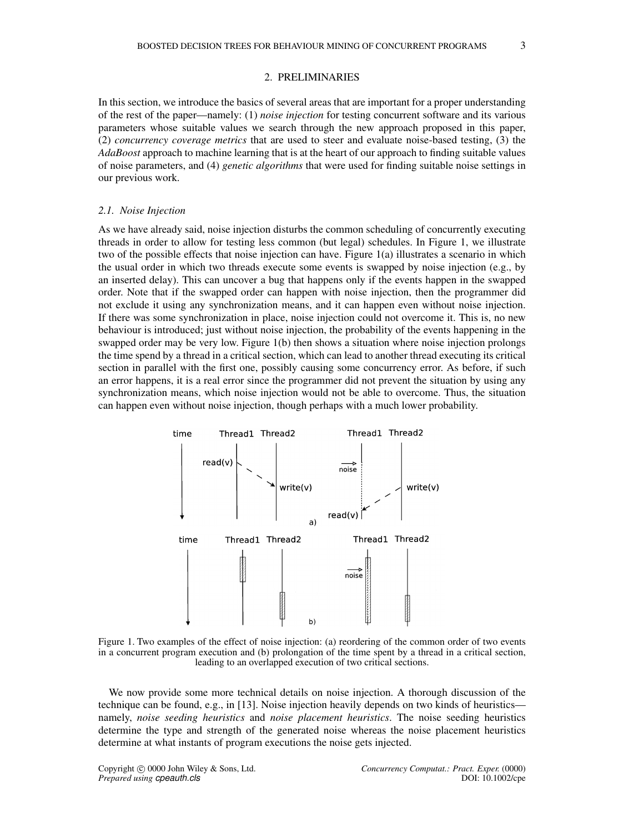# 2. PRELIMINARIES

In this section, we introduce the basics of several areas that are important for a proper understanding of the rest of the paper—namely: (1) *noise injection* for testing concurrent software and its various parameters whose suitable values we search through the new approach proposed in this paper, (2) *concurrency coverage metrics* that are used to steer and evaluate noise-based testing, (3) the *AdaBoost* approach to machine learning that is at the heart of our approach to finding suitable values of noise parameters, and (4) *genetic algorithms* that were used for finding suitable noise settings in our previous work.

#### *2.1. Noise Injection*

As we have already said, noise injection disturbs the common scheduling of concurrently executing threads in order to allow for testing less common (but legal) schedules. In Figure 1, we illustrate two of the possible effects that noise injection can have. Figure 1(a) illustrates a scenario in which the usual order in which two threads execute some events is swapped by noise injection (e.g., by an inserted delay). This can uncover a bug that happens only if the events happen in the swapped order. Note that if the swapped order can happen with noise injection, then the programmer did not exclude it using any synchronization means, and it can happen even without noise injection. If there was some synchronization in place, noise injection could not overcome it. This is, no new behaviour is introduced; just without noise injection, the probability of the events happening in the swapped order may be very low. Figure 1(b) then shows a situation where noise injection prolongs the time spend by a thread in a critical section, which can lead to another thread executing its critical section in parallel with the first one, possibly causing some concurrency error. As before, if such an error happens, it is a real error since the programmer did not prevent the situation by using any synchronization means, which noise injection would not be able to overcome. Thus, the situation can happen even without noise injection, though perhaps with a much lower probability.



Figure 1. Two examples of the effect of noise injection: (a) reordering of the common order of two events in a concurrent program execution and (b) prolongation of the time spent by a thread in a critical section, leading to an overlapped execution of two critical sections.

We now provide some more technical details on noise injection. A thorough discussion of the technique can be found, e.g., in [13]. Noise injection heavily depends on two kinds of heuristics namely, *noise seeding heuristics* and *noise placement heuristics*. The noise seeding heuristics determine the type and strength of the generated noise whereas the noise placement heuristics determine at what instants of program executions the noise gets injected.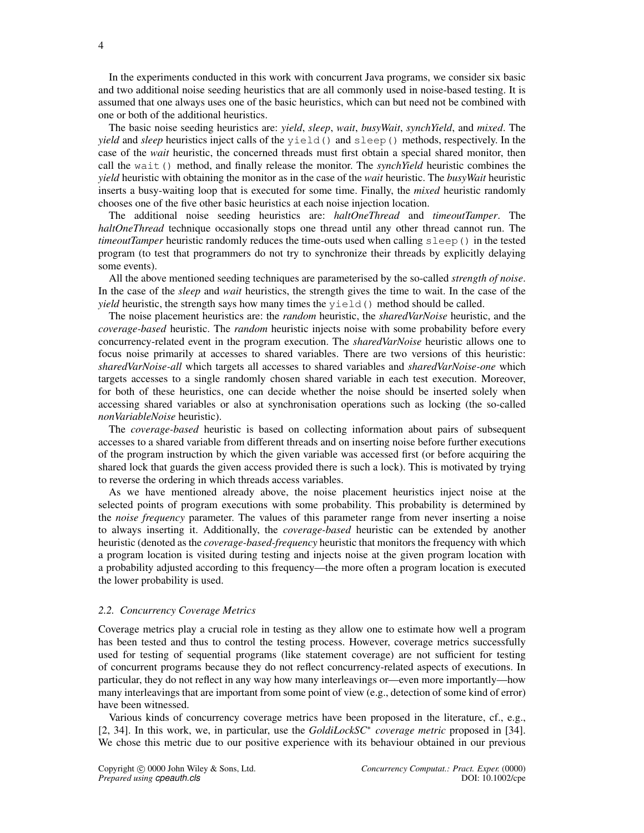In the experiments conducted in this work with concurrent Java programs, we consider six basic and two additional noise seeding heuristics that are all commonly used in noise-based testing. It is assumed that one always uses one of the basic heuristics, which can but need not be combined with one or both of the additional heuristics.

The basic noise seeding heuristics are: *yield*, *sleep*, *wait*, *busyWait*, *synchYield*, and *mixed*. The *yield* and *sleep* heuristics inject calls of the yield() and sleep() methods, respectively. In the case of the *wait* heuristic, the concerned threads must first obtain a special shared monitor, then call the wait() method, and finally release the monitor. The *synchYield* heuristic combines the *yield* heuristic with obtaining the monitor as in the case of the *wait* heuristic. The *busyWait* heuristic inserts a busy-waiting loop that is executed for some time. Finally, the *mixed* heuristic randomly chooses one of the five other basic heuristics at each noise injection location.

The additional noise seeding heuristics are: *haltOneThread* and *timeoutTamper*. The *haltOneThread* technique occasionally stops one thread until any other thread cannot run. The *timeoutTamper* heuristic randomly reduces the time-outs used when calling sleep() in the tested program (to test that programmers do not try to synchronize their threads by explicitly delaying some events).

All the above mentioned seeding techniques are parameterised by the so-called *strength of noise*. In the case of the *sleep* and *wait* heuristics, the strength gives the time to wait. In the case of the *yield* heuristic, the strength says how many times the yield() method should be called.

The noise placement heuristics are: the *random* heuristic, the *sharedVarNoise* heuristic, and the *coverage-based* heuristic. The *random* heuristic injects noise with some probability before every concurrency-related event in the program execution. The *sharedVarNoise* heuristic allows one to focus noise primarily at accesses to shared variables. There are two versions of this heuristic: *sharedVarNoise-all* which targets all accesses to shared variables and *sharedVarNoise-one* which targets accesses to a single randomly chosen shared variable in each test execution. Moreover, for both of these heuristics, one can decide whether the noise should be inserted solely when accessing shared variables or also at synchronisation operations such as locking (the so-called *nonVariableNoise* heuristic).

The *coverage-based* heuristic is based on collecting information about pairs of subsequent accesses to a shared variable from different threads and on inserting noise before further executions of the program instruction by which the given variable was accessed first (or before acquiring the shared lock that guards the given access provided there is such a lock). This is motivated by trying to reverse the ordering in which threads access variables.

As we have mentioned already above, the noise placement heuristics inject noise at the selected points of program executions with some probability. This probability is determined by the *noise frequency* parameter. The values of this parameter range from never inserting a noise to always inserting it. Additionally, the *coverage-based* heuristic can be extended by another heuristic (denoted as the *coverage-based-frequency* heuristic that monitors the frequency with which a program location is visited during testing and injects noise at the given program location with a probability adjusted according to this frequency—the more often a program location is executed the lower probability is used.

#### *2.2. Concurrency Coverage Metrics*

Coverage metrics play a crucial role in testing as they allow one to estimate how well a program has been tested and thus to control the testing process. However, coverage metrics successfully used for testing of sequential programs (like statement coverage) are not sufficient for testing of concurrent programs because they do not reflect concurrency-related aspects of executions. In particular, they do not reflect in any way how many interleavings or—even more importantly—how many interleavings that are important from some point of view (e.g., detection of some kind of error) have been witnessed.

Various kinds of concurrency coverage metrics have been proposed in the literature, cf., e.g., [2, 34]. In this work, we, in particular, use the *GoldiLockSC*<sup>∗</sup> *coverage metric* proposed in [34]. We chose this metric due to our positive experience with its behaviour obtained in our previous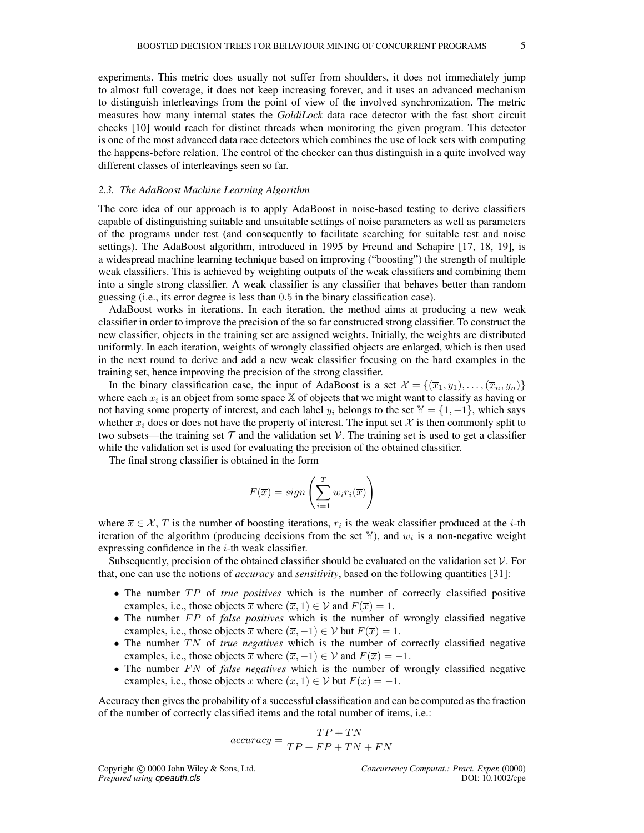experiments. This metric does usually not suffer from shoulders, it does not immediately jump to almost full coverage, it does not keep increasing forever, and it uses an advanced mechanism to distinguish interleavings from the point of view of the involved synchronization. The metric measures how many internal states the *GoldiLock* data race detector with the fast short circuit checks [10] would reach for distinct threads when monitoring the given program. This detector is one of the most advanced data race detectors which combines the use of lock sets with computing the happens-before relation. The control of the checker can thus distinguish in a quite involved way different classes of interleavings seen so far.

#### *2.3. The AdaBoost Machine Learning Algorithm*

The core idea of our approach is to apply AdaBoost in noise-based testing to derive classifiers capable of distinguishing suitable and unsuitable settings of noise parameters as well as parameters of the programs under test (and consequently to facilitate searching for suitable test and noise settings). The AdaBoost algorithm, introduced in 1995 by Freund and Schapire [17, 18, 19], is a widespread machine learning technique based on improving ("boosting") the strength of multiple weak classifiers. This is achieved by weighting outputs of the weak classifiers and combining them into a single strong classifier. A weak classifier is any classifier that behaves better than random guessing (i.e., its error degree is less than 0.5 in the binary classification case).

AdaBoost works in iterations. In each iteration, the method aims at producing a new weak classifier in order to improve the precision of the so far constructed strong classifier. To construct the new classifier, objects in the training set are assigned weights. Initially, the weights are distributed uniformly. In each iteration, weights of wrongly classified objects are enlarged, which is then used in the next round to derive and add a new weak classifier focusing on the hard examples in the training set, hence improving the precision of the strong classifier.

In the binary classification case, the input of AdaBoost is a set  $\mathcal{X} = \{(\overline{x}_1, y_1), \ldots, (\overline{x}_n, y_n)\}\$ where each  $\overline{x}_i$  is an object from some space X of objects that we might want to classify as having or not having some property of interest, and each label  $y_i$  belongs to the set  $\mathbb{Y} = \{1, -1\}$ , which says whether  $\bar{x}_i$  does or does not have the property of interest. The input set X is then commonly split to two subsets—the training set  $\mathcal T$  and the validation set  $\mathcal V$ . The training set is used to get a classifier while the validation set is used for evaluating the precision of the obtained classifier.

The final strong classifier is obtained in the form

$$
F(\overline{x}) = sign\left(\sum_{i=1}^{T} w_i r_i(\overline{x})\right)
$$

where  $\overline{x} \in \mathcal{X}$ , T is the number of boosting iterations,  $r_i$  is the weak classifier produced at the *i*-th iteration of the algorithm (producing decisions from the set  $\mathbb{Y}$ ), and  $w_i$  is a non-negative weight expressing confidence in the  $i$ -th weak classifier.

Subsequently, precision of the obtained classifier should be evaluated on the validation set  $V$ . For that, one can use the notions of *accuracy* and *sensitivity*, based on the following quantities [31]:

- The number TP of *true positives* which is the number of correctly classified positive examples, i.e., those objects  $\overline{x}$  where  $(\overline{x}, 1) \in V$  and  $F(\overline{x}) = 1$ .
- The number FP of *false positives* which is the number of wrongly classified negative examples, i.e., those objects  $\overline{x}$  where  $(\overline{x}, -1) \in \mathcal{V}$  but  $F(\overline{x}) = 1$ .
- The number  $TN$  of *true negatives* which is the number of correctly classified negative examples, i.e., those objects  $\overline{x}$  where  $(\overline{x}, -1) \in V$  and  $F(\overline{x}) = -1$ .
- The number FN of *false negatives* which is the number of wrongly classified negative examples, i.e., those objects  $\overline{x}$  where  $(\overline{x}, 1) \in V$  but  $F(\overline{x}) = -1$ .

Accuracy then gives the probability of a successful classification and can be computed as the fraction of the number of correctly classified items and the total number of items, i.e.:

$$
accuracy = \frac{TP + TN}{TP + FP + TN + FN}
$$

*Prepared using cpeauth.cls*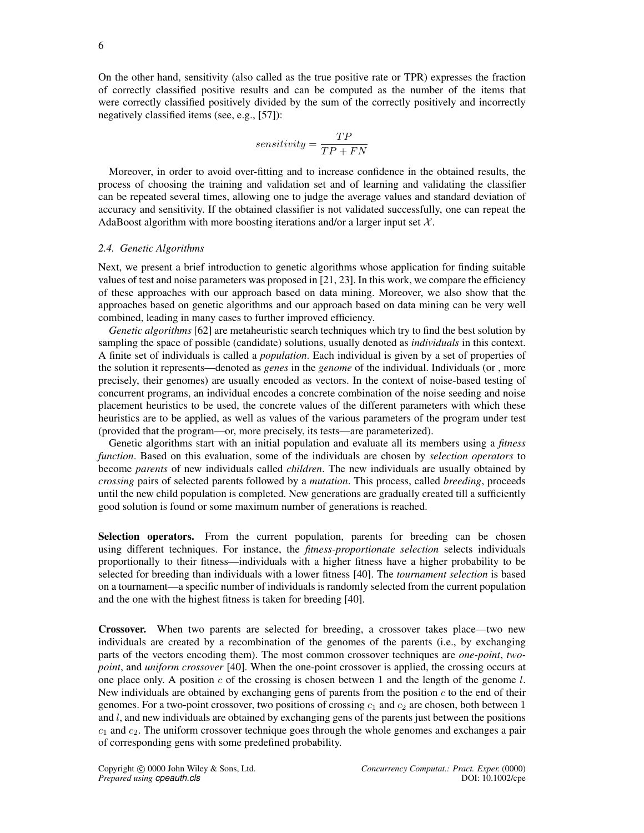On the other hand, sensitivity (also called as the true positive rate or TPR) expresses the fraction of correctly classified positive results and can be computed as the number of the items that were correctly classified positively divided by the sum of the correctly positively and incorrectly negatively classified items (see, e.g., [57]):

$$
sensitivity = \frac{TP}{TP + FN}
$$

Moreover, in order to avoid over-fitting and to increase confidence in the obtained results, the process of choosing the training and validation set and of learning and validating the classifier can be repeated several times, allowing one to judge the average values and standard deviation of accuracy and sensitivity. If the obtained classifier is not validated successfully, one can repeat the AdaBoost algorithm with more boosting iterations and/or a larger input set  $X$ .

#### *2.4. Genetic Algorithms*

Next, we present a brief introduction to genetic algorithms whose application for finding suitable values of test and noise parameters was proposed in [21, 23]. In this work, we compare the efficiency of these approaches with our approach based on data mining. Moreover, we also show that the approaches based on genetic algorithms and our approach based on data mining can be very well combined, leading in many cases to further improved efficiency.

*Genetic algorithms* [62] are metaheuristic search techniques which try to find the best solution by sampling the space of possible (candidate) solutions, usually denoted as *individuals* in this context. A finite set of individuals is called a *population*. Each individual is given by a set of properties of the solution it represents—denoted as *genes* in the *genome* of the individual. Individuals (or , more precisely, their genomes) are usually encoded as vectors. In the context of noise-based testing of concurrent programs, an individual encodes a concrete combination of the noise seeding and noise placement heuristics to be used, the concrete values of the different parameters with which these heuristics are to be applied, as well as values of the various parameters of the program under test (provided that the program—or, more precisely, its tests—are parameterized).

Genetic algorithms start with an initial population and evaluate all its members using a *fitness function*. Based on this evaluation, some of the individuals are chosen by *selection operators* to become *parents* of new individuals called *children*. The new individuals are usually obtained by *crossing* pairs of selected parents followed by a *mutation*. This process, called *breeding*, proceeds until the new child population is completed. New generations are gradually created till a sufficiently good solution is found or some maximum number of generations is reached.

Selection operators. From the current population, parents for breeding can be chosen using different techniques. For instance, the *fitness-proportionate selection* selects individuals proportionally to their fitness—individuals with a higher fitness have a higher probability to be selected for breeding than individuals with a lower fitness [40]. The *tournament selection* is based on a tournament—a specific number of individuals is randomly selected from the current population and the one with the highest fitness is taken for breeding [40].

Crossover. When two parents are selected for breeding, a crossover takes place—two new individuals are created by a recombination of the genomes of the parents (i.e., by exchanging parts of the vectors encoding them). The most common crossover techniques are *one-point*, *twopoint*, and *uniform crossover* [40]. When the one-point crossover is applied, the crossing occurs at one place only. A position c of the crossing is chosen between 1 and the length of the genome l. New individuals are obtained by exchanging gens of parents from the position  $c$  to the end of their genomes. For a two-point crossover, two positions of crossing  $c_1$  and  $c_2$  are chosen, both between 1 and l, and new individuals are obtained by exchanging gens of the parents just between the positions  $c_1$  and  $c_2$ . The uniform crossover technique goes through the whole genomes and exchanges a pair of corresponding gens with some predefined probability.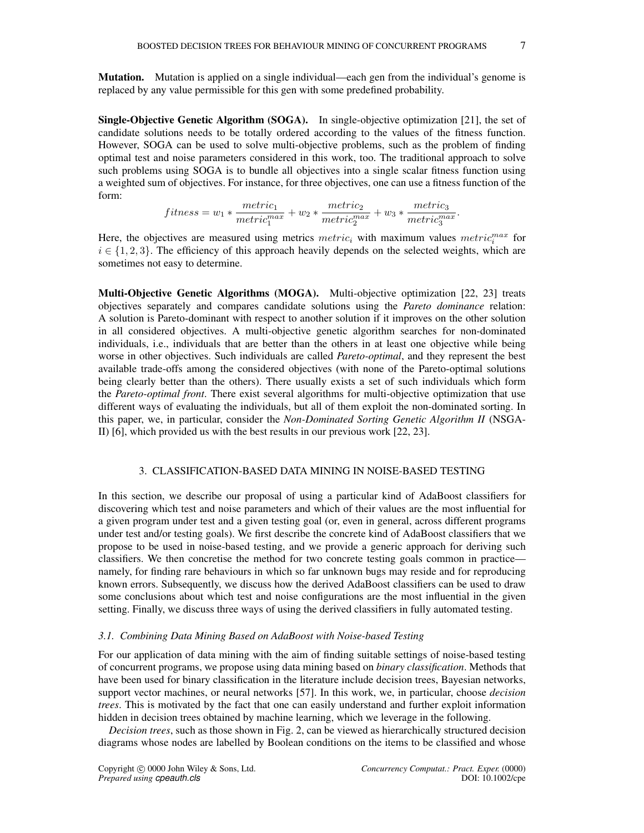**Mutation.** Mutation is applied on a single individual—each gen from the individual's genome is replaced by any value permissible for this gen with some predefined probability.

Single-Objective Genetic Algorithm (SOGA). In single-objective optimization [21], the set of candidate solutions needs to be totally ordered according to the values of the fitness function. However, SOGA can be used to solve multi-objective problems, such as the problem of finding optimal test and noise parameters considered in this work, too. The traditional approach to solve such problems using SOGA is to bundle all objectives into a single scalar fitness function using a weighted sum of objectives. For instance, for three objectives, one can use a fitness function of the form:

 $fitness = w_1 * \frac{metric_1}{metric_1 + true_2}$  $\overline{metric_1^{max}}$  $+w_2*\frac{metric_2}{\cdots}}$  $metric_2^{max}$  $+ w_3 * \frac{metric_3}{\cdots + \cdots + mc_n}$  $\overline{metric_3^{max}}$ .

Here, the objectives are measured using metrics  $metric_i$  with maximum values  $metric_i^{max}$  for  $i \in \{1, 2, 3\}$ . The efficiency of this approach heavily depends on the selected weights, which are sometimes not easy to determine.

Multi-Objective Genetic Algorithms (MOGA). Multi-objective optimization [22, 23] treats objectives separately and compares candidate solutions using the *Pareto dominance* relation: A solution is Pareto-dominant with respect to another solution if it improves on the other solution in all considered objectives. A multi-objective genetic algorithm searches for non-dominated individuals, i.e., individuals that are better than the others in at least one objective while being worse in other objectives. Such individuals are called *Pareto-optimal*, and they represent the best available trade-offs among the considered objectives (with none of the Pareto-optimal solutions being clearly better than the others). There usually exists a set of such individuals which form the *Pareto-optimal front*. There exist several algorithms for multi-objective optimization that use different ways of evaluating the individuals, but all of them exploit the non-dominated sorting. In this paper, we, in particular, consider the *Non-Dominated Sorting Genetic Algorithm II* (NSGA-II) [6], which provided us with the best results in our previous work [22, 23].

# 3. CLASSIFICATION-BASED DATA MINING IN NOISE-BASED TESTING

In this section, we describe our proposal of using a particular kind of AdaBoost classifiers for discovering which test and noise parameters and which of their values are the most influential for a given program under test and a given testing goal (or, even in general, across different programs under test and/or testing goals). We first describe the concrete kind of AdaBoost classifiers that we propose to be used in noise-based testing, and we provide a generic approach for deriving such classifiers. We then concretise the method for two concrete testing goals common in practice namely, for finding rare behaviours in which so far unknown bugs may reside and for reproducing known errors. Subsequently, we discuss how the derived AdaBoost classifiers can be used to draw some conclusions about which test and noise configurations are the most influential in the given setting. Finally, we discuss three ways of using the derived classifiers in fully automated testing.

## *3.1. Combining Data Mining Based on AdaBoost with Noise-based Testing*

For our application of data mining with the aim of finding suitable settings of noise-based testing of concurrent programs, we propose using data mining based on *binary classification*. Methods that have been used for binary classification in the literature include decision trees, Bayesian networks, support vector machines, or neural networks [57]. In this work, we, in particular, choose *decision trees*. This is motivated by the fact that one can easily understand and further exploit information hidden in decision trees obtained by machine learning, which we leverage in the following.

*Decision trees*, such as those shown in Fig. 2, can be viewed as hierarchically structured decision diagrams whose nodes are labelled by Boolean conditions on the items to be classified and whose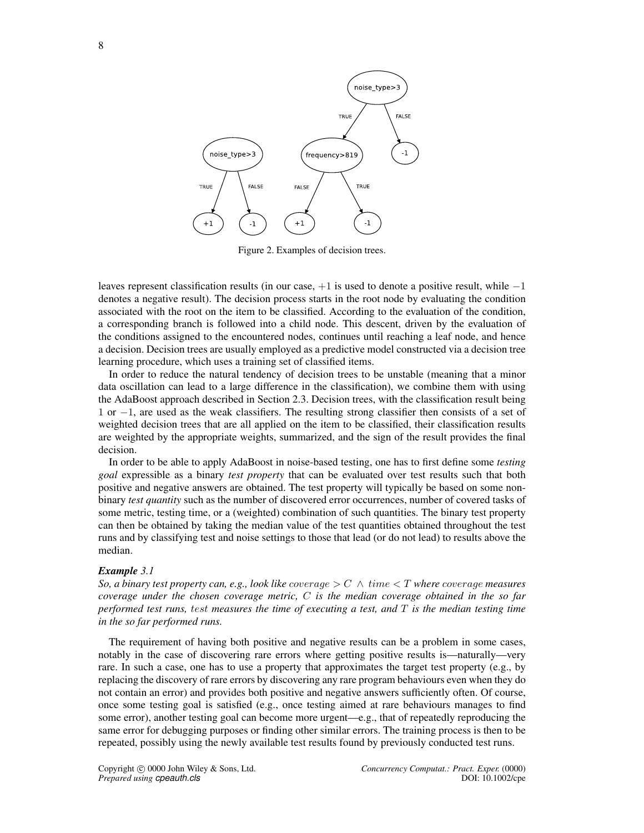

Figure 2. Examples of decision trees.

leaves represent classification results (in our case,  $+1$  is used to denote a positive result, while  $-1$ denotes a negative result). The decision process starts in the root node by evaluating the condition associated with the root on the item to be classified. According to the evaluation of the condition, a corresponding branch is followed into a child node. This descent, driven by the evaluation of the conditions assigned to the encountered nodes, continues until reaching a leaf node, and hence a decision. Decision trees are usually employed as a predictive model constructed via a decision tree learning procedure, which uses a training set of classified items.

In order to reduce the natural tendency of decision trees to be unstable (meaning that a minor data oscillation can lead to a large difference in the classification), we combine them with using the AdaBoost approach described in Section 2.3. Decision trees, with the classification result being 1 or −1, are used as the weak classifiers. The resulting strong classifier then consists of a set of weighted decision trees that are all applied on the item to be classified, their classification results are weighted by the appropriate weights, summarized, and the sign of the result provides the final decision.

In order to be able to apply AdaBoost in noise-based testing, one has to first define some *testing goal* expressible as a binary *test property* that can be evaluated over test results such that both positive and negative answers are obtained. The test property will typically be based on some nonbinary *test quantity* such as the number of discovered error occurrences, number of covered tasks of some metric, testing time, or a (weighted) combination of such quantities. The binary test property can then be obtained by taking the median value of the test quantities obtained throughout the test runs and by classifying test and noise settings to those that lead (or do not lead) to results above the median.

# *Example 3.1*

*So, a binary test property can, e.g., look like* coverage > C ∧ time < T *where* coverage *measures coverage under the chosen coverage metric,* C *is the median coverage obtained in the so far performed test runs,* test *measures the time of executing a test, and* T *is the median testing time in the so far performed runs.*

The requirement of having both positive and negative results can be a problem in some cases, notably in the case of discovering rare errors where getting positive results is—naturally—very rare. In such a case, one has to use a property that approximates the target test property (e.g., by replacing the discovery of rare errors by discovering any rare program behaviours even when they do not contain an error) and provides both positive and negative answers sufficiently often. Of course, once some testing goal is satisfied (e.g., once testing aimed at rare behaviours manages to find some error), another testing goal can become more urgent—e.g., that of repeatedly reproducing the same error for debugging purposes or finding other similar errors. The training process is then to be repeated, possibly using the newly available test results found by previously conducted test runs.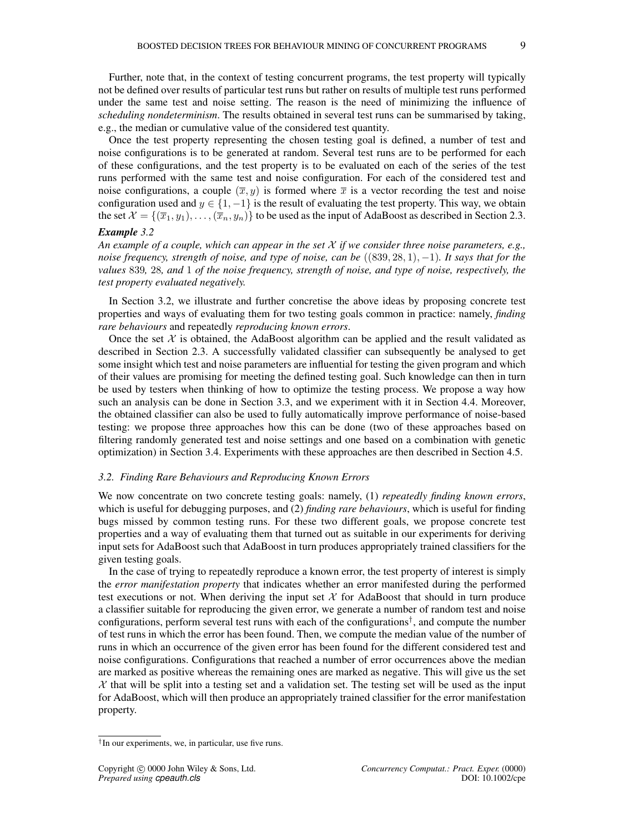Further, note that, in the context of testing concurrent programs, the test property will typically not be defined over results of particular test runs but rather on results of multiple test runs performed under the same test and noise setting. The reason is the need of minimizing the influence of *scheduling nondeterminism*. The results obtained in several test runs can be summarised by taking, e.g., the median or cumulative value of the considered test quantity.

Once the test property representing the chosen testing goal is defined, a number of test and noise configurations is to be generated at random. Several test runs are to be performed for each of these configurations, and the test property is to be evaluated on each of the series of the test runs performed with the same test and noise configuration. For each of the considered test and noise configurations, a couple  $(\bar{x}, y)$  is formed where  $\bar{x}$  is a vector recording the test and noise configuration used and  $y \in \{1, -1\}$  is the result of evaluating the test property. This way, we obtain the set  $\mathcal{X} = \{(\overline{x}_1, y_1), \ldots, (\overline{x}_n, y_n)\}\$ to be used as the input of AdaBoost as described in Section 2.3.

# *Example 3.2*

*An example of a couple, which can appear in the set* X *if we consider three noise parameters, e.g., noise frequency, strength of noise, and type of noise, can be* ((839, 28, 1), −1)*. It says that for the values* 839*,* 28*, and* 1 *of the noise frequency, strength of noise, and type of noise, respectively, the test property evaluated negatively.*

In Section 3.2, we illustrate and further concretise the above ideas by proposing concrete test properties and ways of evaluating them for two testing goals common in practice: namely, *finding rare behaviours* and repeatedly *reproducing known errors*.

Once the set  $X$  is obtained, the AdaBoost algorithm can be applied and the result validated as described in Section 2.3. A successfully validated classifier can subsequently be analysed to get some insight which test and noise parameters are influential for testing the given program and which of their values are promising for meeting the defined testing goal. Such knowledge can then in turn be used by testers when thinking of how to optimize the testing process. We propose a way how such an analysis can be done in Section 3.3, and we experiment with it in Section 4.4. Moreover, the obtained classifier can also be used to fully automatically improve performance of noise-based testing: we propose three approaches how this can be done (two of these approaches based on filtering randomly generated test and noise settings and one based on a combination with genetic optimization) in Section 3.4. Experiments with these approaches are then described in Section 4.5.

## *3.2. Finding Rare Behaviours and Reproducing Known Errors*

We now concentrate on two concrete testing goals: namely, (1) *repeatedly finding known errors*, which is useful for debugging purposes, and (2) *finding rare behaviours*, which is useful for finding bugs missed by common testing runs. For these two different goals, we propose concrete test properties and a way of evaluating them that turned out as suitable in our experiments for deriving input sets for AdaBoost such that AdaBoost in turn produces appropriately trained classifiers for the given testing goals.

In the case of trying to repeatedly reproduce a known error, the test property of interest is simply the *error manifestation property* that indicates whether an error manifested during the performed test executions or not. When deriving the input set  $X$  for AdaBoost that should in turn produce a classifier suitable for reproducing the given error, we generate a number of random test and noise configurations, perform several test runs with each of the configurations† , and compute the number of test runs in which the error has been found. Then, we compute the median value of the number of runs in which an occurrence of the given error has been found for the different considered test and noise configurations. Configurations that reached a number of error occurrences above the median are marked as positive whereas the remaining ones are marked as negative. This will give us the set  $\mathcal X$  that will be split into a testing set and a validation set. The testing set will be used as the input for AdaBoost, which will then produce an appropriately trained classifier for the error manifestation property.

<sup>†</sup> In our experiments, we, in particular, use five runs.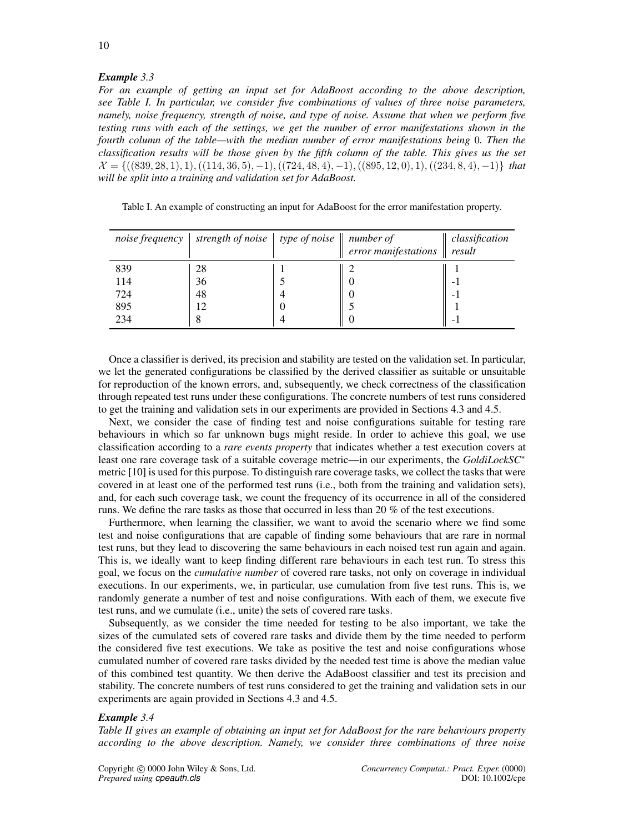# *Example 3.3*

*For an example of getting an input set for AdaBoost according to the above description, see Table I. In particular, we consider five combinations of values of three noise parameters, namely, noise frequency, strength of noise, and type of noise. Assume that when we perform five testing runs with each of the settings, we get the number of error manifestations shown in the fourth column of the table—with the median number of error manifestations being* 0*. Then the classification results will be those given by the fifth column of the table. This gives us the set*  $\mathcal{X} = \{((839, 28, 1), 1), ((114, 36, 5), -1), ((724, 48, 4), -1), ((895, 12, 0), 1), ((234, 8, 4), -1)\}\$  that *will be split into a training and validation set for AdaBoost.*

|     | noise frequency   strength of noise   type of noise $\parallel$ number of | error manifestations | classification<br>result |
|-----|---------------------------------------------------------------------------|----------------------|--------------------------|
| 839 | 28                                                                        |                      |                          |
| 114 | 36                                                                        |                      |                          |
| 724 | 48                                                                        |                      |                          |
| 895 |                                                                           |                      |                          |
| 234 |                                                                           |                      |                          |

Table I. An example of constructing an input for AdaBoost for the error manifestation property.

Once a classifier is derived, its precision and stability are tested on the validation set. In particular, we let the generated configurations be classified by the derived classifier as suitable or unsuitable for reproduction of the known errors, and, subsequently, we check correctness of the classification through repeated test runs under these configurations. The concrete numbers of test runs considered to get the training and validation sets in our experiments are provided in Sections 4.3 and 4.5.

Next, we consider the case of finding test and noise configurations suitable for testing rare behaviours in which so far unknown bugs might reside. In order to achieve this goal, we use classification according to a *rare events property* that indicates whether a test execution covers at least one rare coverage task of a suitable coverage metric—in our experiments, the *GoldiLockSC*<sup>∗</sup> metric [10] is used for this purpose. To distinguish rare coverage tasks, we collect the tasks that were covered in at least one of the performed test runs (i.e., both from the training and validation sets), and, for each such coverage task, we count the frequency of its occurrence in all of the considered runs. We define the rare tasks as those that occurred in less than 20 % of the test executions.

Furthermore, when learning the classifier, we want to avoid the scenario where we find some test and noise configurations that are capable of finding some behaviours that are rare in normal test runs, but they lead to discovering the same behaviours in each noised test run again and again. This is, we ideally want to keep finding different rare behaviours in each test run. To stress this goal, we focus on the *cumulative number* of covered rare tasks, not only on coverage in individual executions. In our experiments, we, in particular, use cumulation from five test runs. This is, we randomly generate a number of test and noise configurations. With each of them, we execute five test runs, and we cumulate (i.e., unite) the sets of covered rare tasks.

Subsequently, as we consider the time needed for testing to be also important, we take the sizes of the cumulated sets of covered rare tasks and divide them by the time needed to perform the considered five test executions. We take as positive the test and noise configurations whose cumulated number of covered rare tasks divided by the needed test time is above the median value of this combined test quantity. We then derive the AdaBoost classifier and test its precision and stability. The concrete numbers of test runs considered to get the training and validation sets in our experiments are again provided in Sections 4.3 and 4.5.

## *Example 3.4*

*Table II gives an example of obtaining an input set for AdaBoost for the rare behaviours property according to the above description. Namely, we consider three combinations of three noise*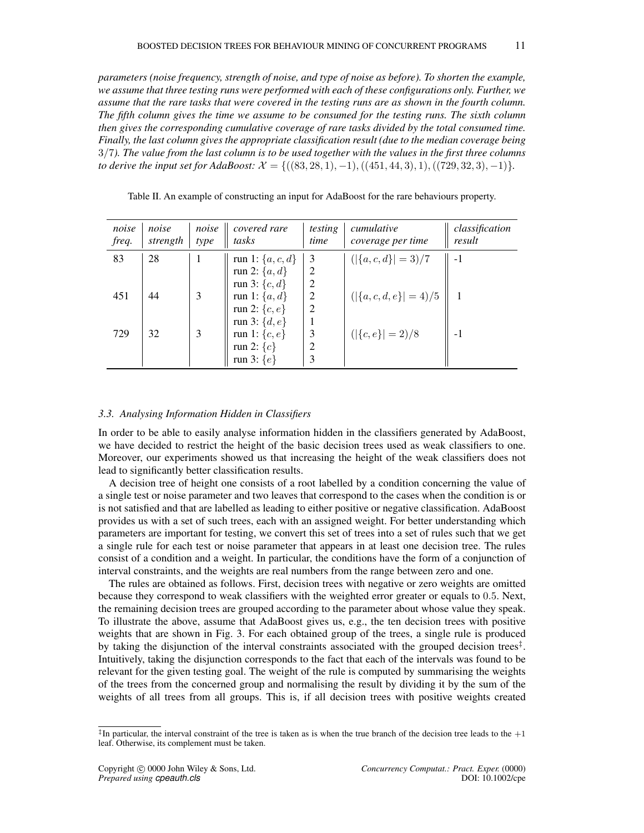*parameters (noise frequency, strength of noise, and type of noise as before). To shorten the example, we assume that three testing runs were performed with each of these configurations only. Further, we assume that the rare tasks that were covered in the testing runs are as shown in the fourth column. The fifth column gives the time we assume to be consumed for the testing runs. The sixth column then gives the corresponding cumulative coverage of rare tasks divided by the total consumed time. Finally, the last column gives the appropriate classification result (due to the median coverage being* 3/7*). The value from the last column is to be used together with the values in the first three columns to derive the input set for AdaBoost:*  $\mathcal{X} = \{((83, 28, 1), -1), ((451, 44, 3), 1), ((729, 32, 3), -1)\}.$ 

| noise<br>freq. | noise<br>strength | noise<br>type | covered rare<br>tasks | testing<br>time | cumulative<br>coverage per time | classification<br>result |
|----------------|-------------------|---------------|-----------------------|-----------------|---------------------------------|--------------------------|
| 83             | 28                |               | run 1: { $a, c, d$ }  | 3               | $( \{a,c,d\} =3)/7$             | $\parallel$ -1           |
|                |                   |               | run 2: ${a, d}$       | $\overline{2}$  |                                 |                          |
|                |                   |               | run 3: { $c, d$ }     | $\overline{2}$  |                                 |                          |
| 451            | 44                | 3             | run 1: { $a, d$ }     | $\overline{2}$  | $( \{a,c,d,e\}  = 4)/5$         |                          |
|                |                   |               | run 2: $\{c, e\}$     | $\overline{2}$  |                                 |                          |
|                |                   |               | run 3: { $d, e$ }     |                 |                                 |                          |
| 729            | 32                | 3             | run 1: { $c, e$ }     | 3               | $( \{c,e\} =2)/8$               |                          |
|                |                   |               | run 2: $\{c\}$        | $\overline{2}$  |                                 |                          |
|                |                   |               | run 3: $\{e\}$        | 3               |                                 |                          |

Table II. An example of constructing an input for AdaBoost for the rare behaviours property.

# *3.3. Analysing Information Hidden in Classifiers*

In order to be able to easily analyse information hidden in the classifiers generated by AdaBoost, we have decided to restrict the height of the basic decision trees used as weak classifiers to one. Moreover, our experiments showed us that increasing the height of the weak classifiers does not lead to significantly better classification results.

A decision tree of height one consists of a root labelled by a condition concerning the value of a single test or noise parameter and two leaves that correspond to the cases when the condition is or is not satisfied and that are labelled as leading to either positive or negative classification. AdaBoost provides us with a set of such trees, each with an assigned weight. For better understanding which parameters are important for testing, we convert this set of trees into a set of rules such that we get a single rule for each test or noise parameter that appears in at least one decision tree. The rules consist of a condition and a weight. In particular, the conditions have the form of a conjunction of interval constraints, and the weights are real numbers from the range between zero and one.

The rules are obtained as follows. First, decision trees with negative or zero weights are omitted because they correspond to weak classifiers with the weighted error greater or equals to 0.5. Next, the remaining decision trees are grouped according to the parameter about whose value they speak. To illustrate the above, assume that AdaBoost gives us, e.g., the ten decision trees with positive weights that are shown in Fig. 3. For each obtained group of the trees, a single rule is produced by taking the disjunction of the interval constraints associated with the grouped decision trees<sup>‡</sup>. Intuitively, taking the disjunction corresponds to the fact that each of the intervals was found to be relevant for the given testing goal. The weight of the rule is computed by summarising the weights of the trees from the concerned group and normalising the result by dividing it by the sum of the weights of all trees from all groups. This is, if all decision trees with positive weights created

 $\frac{1}{4}$ In particular, the interval constraint of the tree is taken as is when the true branch of the decision tree leads to the  $+1$ leaf. Otherwise, its complement must be taken.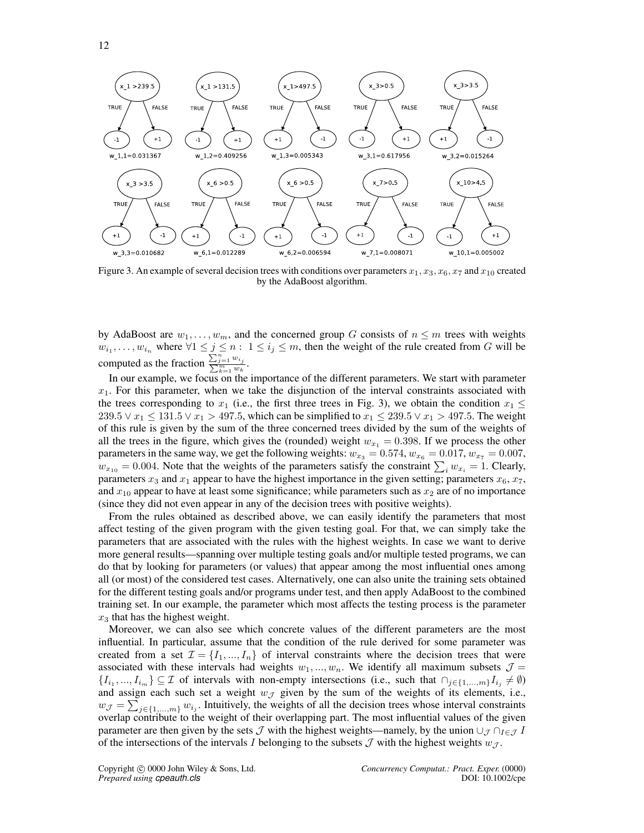

Figure 3. An example of several decision trees with conditions over parameters  $x_1, x_3, x_6, x_7$  and  $x_{10}$  created by the AdaBoost algorithm.

by AdaBoost are  $w_1, \ldots, w_m$ , and the concerned group G consists of  $n \leq m$  trees with weights  $w_{i_1}, \ldots, w_{i_n}$  where  $\forall 1 \leq j \leq n : 1 \leq i_j \leq m$ , then the weight of the rule created from G will be computed as the fraction  $\frac{\sum_{j=1}^{n} w_{i_j}}{\sum_{k=1}^{m} w_k}$ .

In our example, we focus on the importance of the different parameters. We start with parameter  $x_1$ . For this parameter, when we take the disjunction of the interval constraints associated with the trees corresponding to  $x_1$  (i.e., the first three trees in Fig. 3), we obtain the condition  $x_1 \leq$  $239.5 \vee x_1 \le 131.5 \vee x_1 > 497.5$ , which can be simplified to  $x_1 \le 239.5 \vee x_1 > 497.5$ . The weight of this rule is given by the sum of the three concerned trees divided by the sum of the weights of all the trees in the figure, which gives the (rounded) weight  $w_{x_1} = 0.398$ . If we process the other parameters in the same way, we get the following weights:  $w_{x3} = 0.574$ ,  $w_{x6} = 0.017$ ,  $w_{x7} = 0.007$ ,  $w_{x_{10}} = 0.004$ . Note that the weights of the parameters satisfy the constraint  $\sum_i w_{x_i} = 1$ . Clearly, parameters  $x_3$  and  $x_1$  appear to have the highest importance in the given setting; parameters  $x_6$ ,  $x_7$ , and  $x_{10}$  appear to have at least some significance; while parameters such as  $x_2$  are of no importance (since they did not even appear in any of the decision trees with positive weights).

From the rules obtained as described above, we can easily identify the parameters that most affect testing of the given program with the given testing goal. For that, we can simply take the parameters that are associated with the rules with the highest weights. In case we want to derive more general results—spanning over multiple testing goals and/or multiple tested programs, we can do that by looking for parameters (or values) that appear among the most influential ones among all (or most) of the considered test cases. Alternatively, one can also unite the training sets obtained for the different testing goals and/or programs under test, and then apply AdaBoost to the combined training set. In our example, the parameter which most affects the testing process is the parameter  $x_3$  that has the highest weight.

Moreover, we can also see which concrete values of the different parameters are the most influential. In particular, assume that the condition of the rule derived for some parameter was created from a set  $\mathcal{I} = \{I_1, ..., I_n\}$  of interval constraints where the decision trees that were associated with these intervals had weights  $w_1, ..., w_n$ . We identify all maximum subsets  $\mathcal{J} =$  $\{I_{i_1},...,I_{i_m}\}\subseteq \mathcal{I}$  of intervals with non-empty intersections (i.e., such that  $\cap_{j\in\{1,...,m\}} I_{i_j} \neq \emptyset$ ) and assign each such set a weight  $w<sub>J</sub>$  given by the sum of the weights of its elements, i.e.,  $w_{\mathcal{J}} = \sum_{j \in \{1,...,m\}} w_{i_j}$ . Intuitively, the weights of all the decision trees whose interval constraints overlap contribute to the weight of their overlapping part. The most influential values of the given parameter are then given by the sets J with the highest weights—namely, by the union  $\cup_{\mathcal{J}} \cap_{I \in \mathcal{J}} I$ of the intersections of the intervals I belonging to the subsets J with the highest weights  $w_{\mathcal{J}}$ .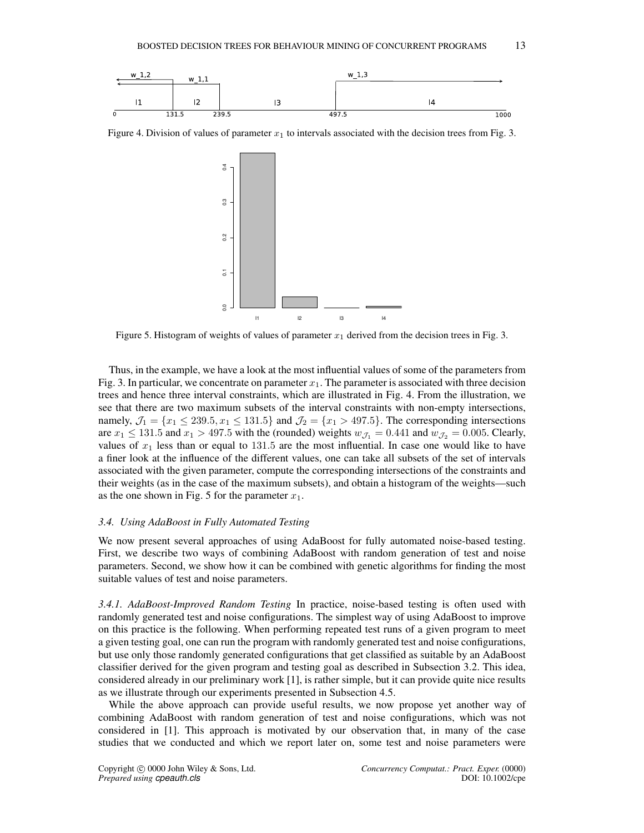

Figure 4. Division of values of parameter  $x_1$  to intervals associated with the decision trees from Fig. 3.



Figure 5. Histogram of weights of values of parameter  $x_1$  derived from the decision trees in Fig. 3.

Thus, in the example, we have a look at the most influential values of some of the parameters from Fig. 3. In particular, we concentrate on parameter  $x_1$ . The parameter is associated with three decision trees and hence three interval constraints, which are illustrated in Fig. 4. From the illustration, we see that there are two maximum subsets of the interval constraints with non-empty intersections, namely,  $\mathcal{J}_1 = \{x_1 \leq 239.5, x_1 \leq 131.5\}$  and  $\mathcal{J}_2 = \{x_1 > 497.5\}$ . The corresponding intersections are  $x_1 \le 131.5$  and  $x_1 > 497.5$  with the (rounded) weights  $w_{\mathcal{J}_1} = 0.441$  and  $w_{\mathcal{J}_2} = 0.005$ . Clearly, values of  $x_1$  less than or equal to 131.5 are the most influential. In case one would like to have a finer look at the influence of the different values, one can take all subsets of the set of intervals associated with the given parameter, compute the corresponding intersections of the constraints and their weights (as in the case of the maximum subsets), and obtain a histogram of the weights—such as the one shown in Fig. 5 for the parameter  $x_1$ .

## *3.4. Using AdaBoost in Fully Automated Testing*

We now present several approaches of using AdaBoost for fully automated noise-based testing. First, we describe two ways of combining AdaBoost with random generation of test and noise parameters. Second, we show how it can be combined with genetic algorithms for finding the most suitable values of test and noise parameters.

*3.4.1. AdaBoost-Improved Random Testing* In practice, noise-based testing is often used with randomly generated test and noise configurations. The simplest way of using AdaBoost to improve on this practice is the following. When performing repeated test runs of a given program to meet a given testing goal, one can run the program with randomly generated test and noise configurations, but use only those randomly generated configurations that get classified as suitable by an AdaBoost classifier derived for the given program and testing goal as described in Subsection 3.2. This idea, considered already in our preliminary work [1], is rather simple, but it can provide quite nice results as we illustrate through our experiments presented in Subsection 4.5.

While the above approach can provide useful results, we now propose yet another way of combining AdaBoost with random generation of test and noise configurations, which was not considered in [1]. This approach is motivated by our observation that, in many of the case studies that we conducted and which we report later on, some test and noise parameters were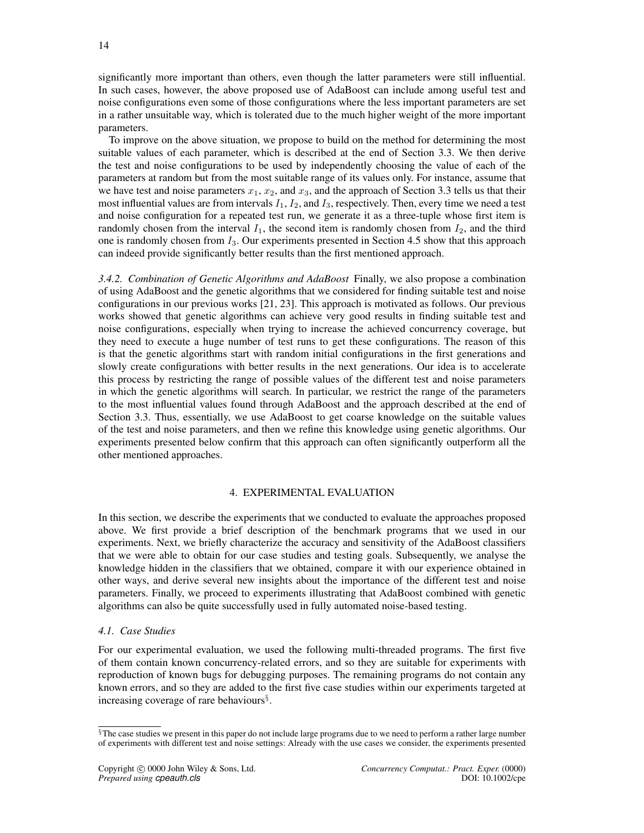significantly more important than others, even though the latter parameters were still influential. In such cases, however, the above proposed use of AdaBoost can include among useful test and noise configurations even some of those configurations where the less important parameters are set in a rather unsuitable way, which is tolerated due to the much higher weight of the more important parameters.

To improve on the above situation, we propose to build on the method for determining the most suitable values of each parameter, which is described at the end of Section 3.3. We then derive the test and noise configurations to be used by independently choosing the value of each of the parameters at random but from the most suitable range of its values only. For instance, assume that we have test and noise parameters  $x_1, x_2$ , and  $x_3$ , and the approach of Section 3.3 tells us that their most influential values are from intervals  $I_1$ ,  $I_2$ , and  $I_3$ , respectively. Then, every time we need a test and noise configuration for a repeated test run, we generate it as a three-tuple whose first item is randomly chosen from the interval  $I_1$ , the second item is randomly chosen from  $I_2$ , and the third one is randomly chosen from  $I_3$ . Our experiments presented in Section 4.5 show that this approach can indeed provide significantly better results than the first mentioned approach.

*3.4.2. Combination of Genetic Algorithms and AdaBoost* Finally, we also propose a combination of using AdaBoost and the genetic algorithms that we considered for finding suitable test and noise configurations in our previous works [21, 23]. This approach is motivated as follows. Our previous works showed that genetic algorithms can achieve very good results in finding suitable test and noise configurations, especially when trying to increase the achieved concurrency coverage, but they need to execute a huge number of test runs to get these configurations. The reason of this is that the genetic algorithms start with random initial configurations in the first generations and slowly create configurations with better results in the next generations. Our idea is to accelerate this process by restricting the range of possible values of the different test and noise parameters in which the genetic algorithms will search. In particular, we restrict the range of the parameters to the most influential values found through AdaBoost and the approach described at the end of Section 3.3. Thus, essentially, we use AdaBoost to get coarse knowledge on the suitable values of the test and noise parameters, and then we refine this knowledge using genetic algorithms. Our experiments presented below confirm that this approach can often significantly outperform all the other mentioned approaches.

# 4. EXPERIMENTAL EVALUATION

In this section, we describe the experiments that we conducted to evaluate the approaches proposed above. We first provide a brief description of the benchmark programs that we used in our experiments. Next, we briefly characterize the accuracy and sensitivity of the AdaBoost classifiers that we were able to obtain for our case studies and testing goals. Subsequently, we analyse the knowledge hidden in the classifiers that we obtained, compare it with our experience obtained in other ways, and derive several new insights about the importance of the different test and noise parameters. Finally, we proceed to experiments illustrating that AdaBoost combined with genetic algorithms can also be quite successfully used in fully automated noise-based testing.

#### *4.1. Case Studies*

For our experimental evaluation, we used the following multi-threaded programs. The first five of them contain known concurrency-related errors, and so they are suitable for experiments with reproduction of known bugs for debugging purposes. The remaining programs do not contain any known errors, and so they are added to the first five case studies within our experiments targeted at increasing coverage of rare behaviours§ .

<sup>§</sup>The case studies we present in this paper do not include large programs due to we need to perform a rather large number of experiments with different test and noise settings: Already with the use cases we consider, the experiments presented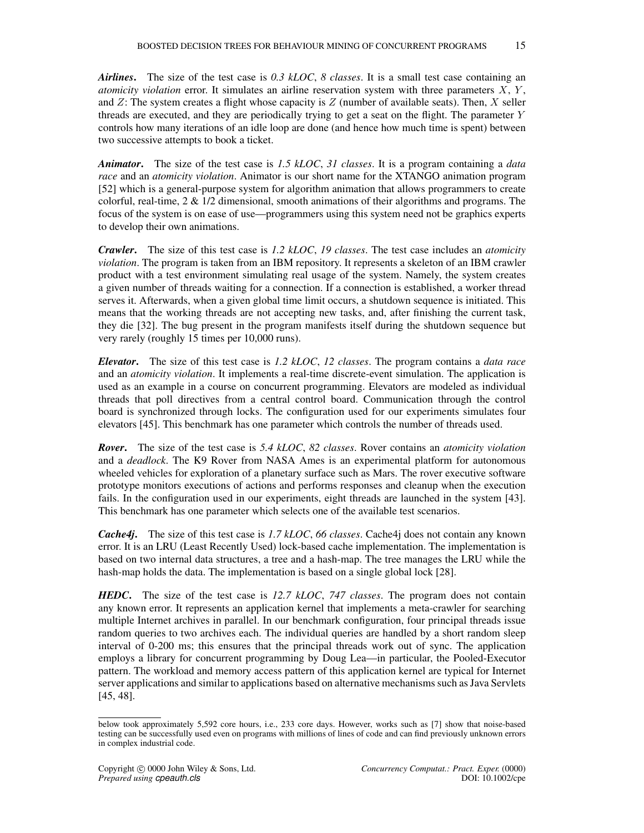*Airlines*. The size of the test case is *0.3 kLOC*, *8 classes*. It is a small test case containing an *atomicity violation* error. It simulates an airline reservation system with three parameters X, Y, and Z: The system creates a flight whose capacity is Z (number of available seats). Then, X seller threads are executed, and they are periodically trying to get a seat on the flight. The parameter  $Y$ controls how many iterations of an idle loop are done (and hence how much time is spent) between two successive attempts to book a ticket.

*Animator*. The size of the test case is *1.5 kLOC*, *31 classes*. It is a program containing a *data race* and an *atomicity violation*. Animator is our short name for the XTANGO animation program [52] which is a general-purpose system for algorithm animation that allows programmers to create colorful, real-time, 2 & 1/2 dimensional, smooth animations of their algorithms and programs. The focus of the system is on ease of use—programmers using this system need not be graphics experts to develop their own animations.

*Crawler*. The size of this test case is *1.2 kLOC*, *19 classes*. The test case includes an *atomicity violation*. The program is taken from an IBM repository. It represents a skeleton of an IBM crawler product with a test environment simulating real usage of the system. Namely, the system creates a given number of threads waiting for a connection. If a connection is established, a worker thread serves it. Afterwards, when a given global time limit occurs, a shutdown sequence is initiated. This means that the working threads are not accepting new tasks, and, after finishing the current task, they die [32]. The bug present in the program manifests itself during the shutdown sequence but very rarely (roughly 15 times per 10,000 runs).

*Elevator*. The size of this test case is *1.2 kLOC*, *12 classes*. The program contains a *data race* and an *atomicity violation*. It implements a real-time discrete-event simulation. The application is used as an example in a course on concurrent programming. Elevators are modeled as individual threads that poll directives from a central control board. Communication through the control board is synchronized through locks. The configuration used for our experiments simulates four elevators [45]. This benchmark has one parameter which controls the number of threads used.

*Rover*. The size of the test case is *5.4 kLOC*, *82 classes*. Rover contains an *atomicity violation* and a *deadlock*. The K9 Rover from NASA Ames is an experimental platform for autonomous wheeled vehicles for exploration of a planetary surface such as Mars. The rover executive software prototype monitors executions of actions and performs responses and cleanup when the execution fails. In the configuration used in our experiments, eight threads are launched in the system [43]. This benchmark has one parameter which selects one of the available test scenarios.

*Cache4j*. The size of this test case is *1.7 kLOC*, *66 classes*. Cache4j does not contain any known error. It is an LRU (Least Recently Used) lock-based cache implementation. The implementation is based on two internal data structures, a tree and a hash-map. The tree manages the LRU while the hash-map holds the data. The implementation is based on a single global lock [28].

*HEDC*. The size of the test case is *12.7 kLOC*, *747 classes*. The program does not contain any known error. It represents an application kernel that implements a meta-crawler for searching multiple Internet archives in parallel. In our benchmark configuration, four principal threads issue random queries to two archives each. The individual queries are handled by a short random sleep interval of 0-200 ms; this ensures that the principal threads work out of sync. The application employs a library for concurrent programming by Doug Lea—in particular, the Pooled-Executor pattern. The workload and memory access pattern of this application kernel are typical for Internet server applications and similar to applications based on alternative mechanisms such as Java Servlets [45, 48].

below took approximately 5,592 core hours, i.e., 233 core days. However, works such as [7] show that noise-based testing can be successfully used even on programs with millions of lines of code and can find previously unknown errors in complex industrial code.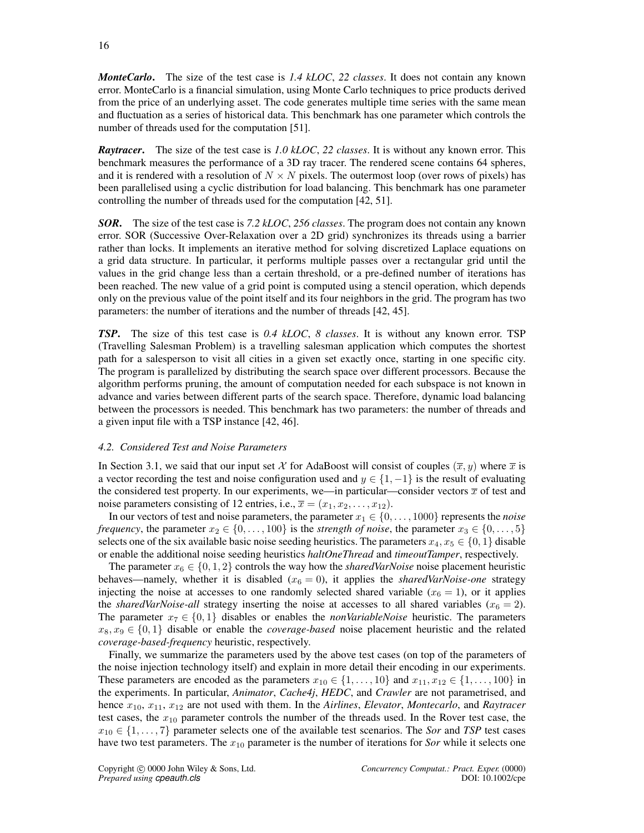*MonteCarlo*. The size of the test case is *1.4 kLOC*, *22 classes*. It does not contain any known error. MonteCarlo is a financial simulation, using Monte Carlo techniques to price products derived from the price of an underlying asset. The code generates multiple time series with the same mean and fluctuation as a series of historical data. This benchmark has one parameter which controls the number of threads used for the computation [51].

*Raytracer*. The size of the test case is *1.0 kLOC*, *22 classes*. It is without any known error. This benchmark measures the performance of a 3D ray tracer. The rendered scene contains 64 spheres, and it is rendered with a resolution of  $N \times N$  pixels. The outermost loop (over rows of pixels) has been parallelised using a cyclic distribution for load balancing. This benchmark has one parameter controlling the number of threads used for the computation [42, 51].

*SOR*. The size of the test case is *7.2 kLOC*, *256 classes*. The program does not contain any known error. SOR (Successive Over-Relaxation over a 2D grid) synchronizes its threads using a barrier rather than locks. It implements an iterative method for solving discretized Laplace equations on a grid data structure. In particular, it performs multiple passes over a rectangular grid until the values in the grid change less than a certain threshold, or a pre-defined number of iterations has been reached. The new value of a grid point is computed using a stencil operation, which depends only on the previous value of the point itself and its four neighbors in the grid. The program has two parameters: the number of iterations and the number of threads [42, 45].

*TSP*. The size of this test case is *0.4 kLOC*, *8 classes*. It is without any known error. TSP (Travelling Salesman Problem) is a travelling salesman application which computes the shortest path for a salesperson to visit all cities in a given set exactly once, starting in one specific city. The program is parallelized by distributing the search space over different processors. Because the algorithm performs pruning, the amount of computation needed for each subspace is not known in advance and varies between different parts of the search space. Therefore, dynamic load balancing between the processors is needed. This benchmark has two parameters: the number of threads and a given input file with a TSP instance [42, 46].

#### *4.2. Considered Test and Noise Parameters*

In Section 3.1, we said that our input set X for AdaBoost will consist of couples  $(\bar{x}, y)$  where  $\bar{x}$  is a vector recording the test and noise configuration used and  $y \in \{1, -1\}$  is the result of evaluating the considered test property. In our experiments, we—in particular—consider vectors  $\bar{x}$  of test and noise parameters consisting of 12 entries, i.e.,  $\overline{x} = (x_1, x_2, \dots, x_{12}).$ 

In our vectors of test and noise parameters, the parameter  $x_1 \in \{0, \ldots, 1000\}$  represents the *noise frequency*, the parameter  $x_2 \in \{0, \ldots, 100\}$  is the *strength of noise*, the parameter  $x_3 \in \{0, \ldots, 5\}$ selects one of the six available basic noise seeding heuristics. The parameters  $x_4, x_5 \in \{0, 1\}$  disable or enable the additional noise seeding heuristics *haltOneThread* and *timeoutTamper*, respectively.

The parameter  $x_6 \in \{0, 1, 2\}$  controls the way how the *sharedVarNoise* noise placement heuristic behaves—namely, whether it is disabled  $(x<sub>6</sub> = 0)$ , it applies the *sharedVarNoise-one* strategy injecting the noise at accesses to one randomly selected shared variable  $(x_6 = 1)$ , or it applies the *sharedVarNoise-all* strategy inserting the noise at accesses to all shared variables ( $x_6 = 2$ ). The parameter  $x_7 \in \{0, 1\}$  disables or enables the *nonVariableNoise* heuristic. The parameters  $x_8, x_9 \in \{0, 1\}$  disable or enable the *coverage-based* noise placement heuristic and the related *coverage-based-frequency* heuristic, respectively.

Finally, we summarize the parameters used by the above test cases (on top of the parameters of the noise injection technology itself) and explain in more detail their encoding in our experiments. These parameters are encoded as the parameters  $x_{10} \in \{1, \ldots, 10\}$  and  $x_{11}, x_{12} \in \{1, \ldots, 100\}$  in the experiments. In particular, *Animator*, *Cache4j*, *HEDC*, and *Crawler* are not parametrised, and hence x10, x11, x<sup>12</sup> are not used with them. In the *Airlines*, *Elevator*, *Montecarlo*, and *Raytracer* test cases, the  $x_{10}$  parameter controls the number of the threads used. In the Rover test case, the  $x_{10} \in \{1, \ldots, 7\}$  parameter selects one of the available test scenarios. The *Sor* and *TSP* test cases have two test parameters. The x<sup>10</sup> parameter is the number of iterations for *Sor* while it selects one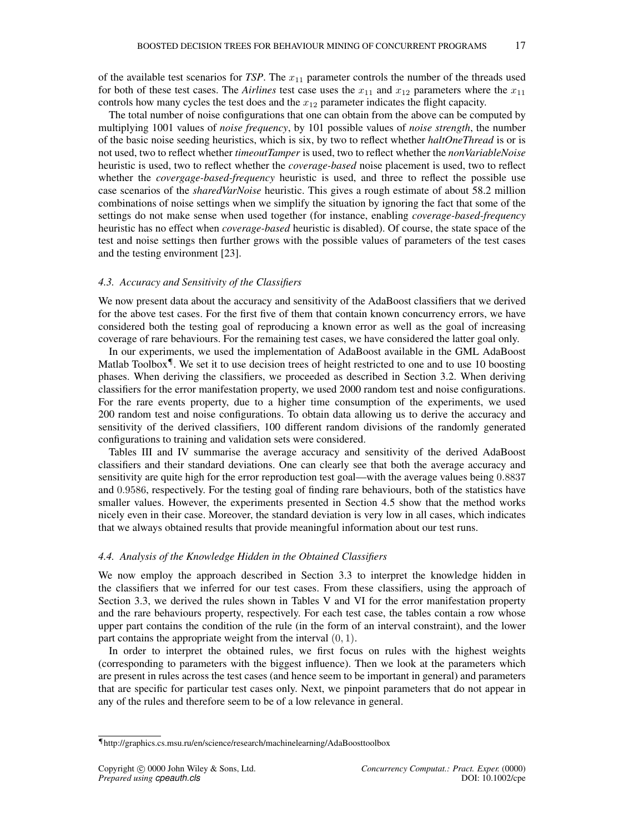of the available test scenarios for *TSP*. The  $x_{11}$  parameter controls the number of the threads used for both of these test cases. The *Airlines* test case uses the  $x_{11}$  and  $x_{12}$  parameters where the  $x_{11}$ controls how many cycles the test does and the  $x_{12}$  parameter indicates the flight capacity.

The total number of noise configurations that one can obtain from the above can be computed by multiplying 1001 values of *noise frequency*, by 101 possible values of *noise strength*, the number of the basic noise seeding heuristics, which is six, by two to reflect whether *haltOneThread* is or is not used, two to reflect whether *timeoutTamper* is used, two to reflect whether the *nonVariableNoise* heuristic is used, two to reflect whether the *coverage-based* noise placement is used, two to reflect whether the *covergage-based-frequency* heuristic is used, and three to reflect the possible use case scenarios of the *sharedVarNoise* heuristic. This gives a rough estimate of about 58.2 million combinations of noise settings when we simplify the situation by ignoring the fact that some of the settings do not make sense when used together (for instance, enabling *coverage-based-frequency* heuristic has no effect when *coverage-based* heuristic is disabled). Of course, the state space of the test and noise settings then further grows with the possible values of parameters of the test cases and the testing environment [23].

# *4.3. Accuracy and Sensitivity of the Classifiers*

We now present data about the accuracy and sensitivity of the AdaBoost classifiers that we derived for the above test cases. For the first five of them that contain known concurrency errors, we have considered both the testing goal of reproducing a known error as well as the goal of increasing coverage of rare behaviours. For the remaining test cases, we have considered the latter goal only.

In our experiments, we used the implementation of AdaBoost available in the GML AdaBoost Matlab Toolbox<sup>¶</sup>. We set it to use decision trees of height restricted to one and to use 10 boosting phases. When deriving the classifiers, we proceeded as described in Section 3.2. When deriving classifiers for the error manifestation property, we used 2000 random test and noise configurations. For the rare events property, due to a higher time consumption of the experiments, we used 200 random test and noise configurations. To obtain data allowing us to derive the accuracy and sensitivity of the derived classifiers, 100 different random divisions of the randomly generated configurations to training and validation sets were considered.

Tables III and IV summarise the average accuracy and sensitivity of the derived AdaBoost classifiers and their standard deviations. One can clearly see that both the average accuracy and sensitivity are quite high for the error reproduction test goal—with the average values being 0.8837 and 0.9586, respectively. For the testing goal of finding rare behaviours, both of the statistics have smaller values. However, the experiments presented in Section 4.5 show that the method works nicely even in their case. Moreover, the standard deviation is very low in all cases, which indicates that we always obtained results that provide meaningful information about our test runs.

#### *4.4. Analysis of the Knowledge Hidden in the Obtained Classifiers*

We now employ the approach described in Section 3.3 to interpret the knowledge hidden in the classifiers that we inferred for our test cases. From these classifiers, using the approach of Section 3.3, we derived the rules shown in Tables V and VI for the error manifestation property and the rare behaviours property, respectively. For each test case, the tables contain a row whose upper part contains the condition of the rule (in the form of an interval constraint), and the lower part contains the appropriate weight from the interval (0, 1).

In order to interpret the obtained rules, we first focus on rules with the highest weights (corresponding to parameters with the biggest influence). Then we look at the parameters which are present in rules across the test cases (and hence seem to be important in general) and parameters that are specific for particular test cases only. Next, we pinpoint parameters that do not appear in any of the rules and therefore seem to be of a low relevance in general.

<sup>¶</sup>http://graphics.cs.msu.ru/en/science/research/machinelearning/AdaBoosttoolbox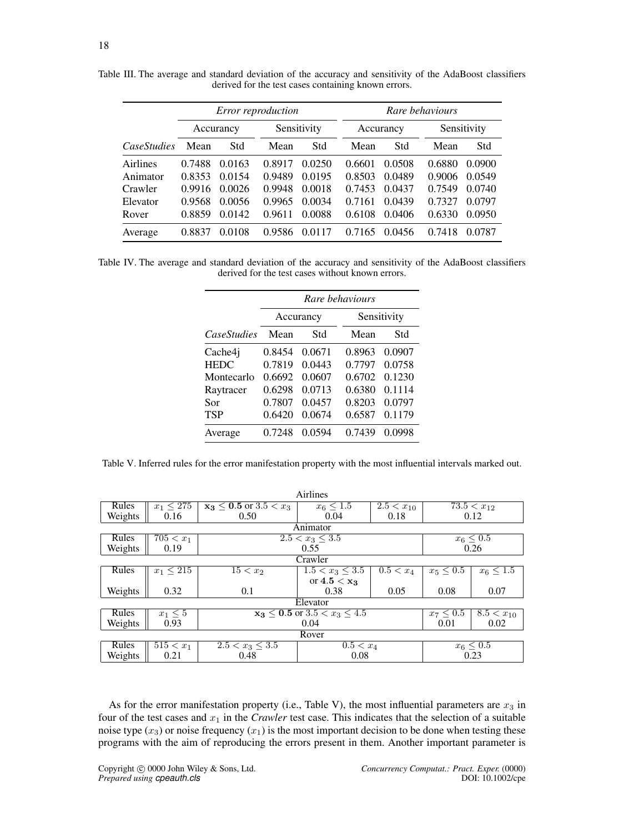|                    | Error reproduction |        |        |             | Rare behaviours |           |        |             |  |
|--------------------|--------------------|--------|--------|-------------|-----------------|-----------|--------|-------------|--|
|                    | Accurancy          |        |        | Sensitivity |                 | Accurancy |        | Sensitivity |  |
| <i>CaseStudies</i> | Mean               | Std    | Mean   | Std         | Mean            | Std       | Mean   | Std         |  |
| Airlines           | 0.7488             | 0.0163 | 0.8917 | 0.0250      | 0.6601          | 0.0508    | 0.6880 | 0.0900      |  |
| Animator           | 0.8353             | 0.0154 | 0.9489 | 0.0195      | 0.8503          | 0.0489    | 0.9006 | 0.0549      |  |
| Crawler            | 0.9916             | 0.0026 | 0.9948 | 0.0018      | 0.7453          | 0.0437    | 0.7549 | 0.0740      |  |
| Elevator           | 0.9568             | 0.0056 | 0.9965 | 0.0034      | 0.7161          | 0.0439    | 0.7327 | 0.0797      |  |
| Rover              | 0.8859             | 0.0142 | 0.9611 | 0.0088      | 0.6108          | 0.0406    | 0.6330 | 0.0950      |  |
| Average            | 0.8837             | 0.0108 | 0.9586 | 0.0117      | 0.7165          | 0.0456    | 0.7418 | 0.0787      |  |

Table III. The average and standard deviation of the accuracy and sensitivity of the AdaBoost classifiers derived for the test cases containing known errors.

Table IV. The average and standard deviation of the accuracy and sensitivity of the AdaBoost classifiers derived for the test cases without known errors.

|                    | Rare behaviours |           |        |             |  |  |  |  |
|--------------------|-----------------|-----------|--------|-------------|--|--|--|--|
|                    |                 | Accurancy |        | Sensitivity |  |  |  |  |
| <i>CaseStudies</i> | Mean            | Std       | Mean   | Std         |  |  |  |  |
| Cache4j            | 0.8454          | 0.0671    | 0.8963 | 0.0907      |  |  |  |  |
| <b>HEDC</b>        | 0.7819          | 0.0443    | 0.7797 | 0.0758      |  |  |  |  |
| Montecarlo         | 0.6692          | 0.0607    | 0.6702 | 0.1230      |  |  |  |  |
| Raytracer          | 0.6298          | 0.0713    | 0.6380 | 0.1114      |  |  |  |  |
| Sor                | 0.7807          | 0.0457    | 0.8203 | 0.0797      |  |  |  |  |
| <b>TSP</b>         | 0.6420          | 0.0674    | 0.6587 | 0.1179      |  |  |  |  |
| Average            | 0.7248          | 0.0594    | 0.7439 | 0.0998      |  |  |  |  |

Table V. Inferred rules for the error manifestation property with the most influential intervals marked out.

| Airlines |              |                                                    |                                        |             |                |                |  |  |
|----------|--------------|----------------------------------------------------|----------------------------------------|-------------|----------------|----------------|--|--|
| Rules    | $x_1 < 275$  | $x_3 \leq 0.5$ or $3.5 < x_3$                      | $73.5 < x_{12}$                        |             |                |                |  |  |
| Weights  | 0.16         | 0.50                                               | 0.04                                   | 0.18        |                | 0.12           |  |  |
|          |              |                                                    | Animator                               |             |                |                |  |  |
| Rules    | $705 < x_1$  |                                                    | $2.5 < x_3 \leq 3.5$                   |             |                | $x_6 \leq 0.5$ |  |  |
| Weights  | 0.19         |                                                    | 0.55                                   |             |                | 0.26           |  |  |
|          |              |                                                    | Crawler                                |             |                |                |  |  |
| Rules    | $x_1 < 215$  | $15 < x_2$                                         | $1.5 < x_3 < 3.5$                      | $0.5 < x_4$ | $x_5 \leq 0.5$ | $x_6 \leq 1.5$ |  |  |
|          |              |                                                    | or $4.5 < x_3$                         |             |                |                |  |  |
| Weights  | 0.32         | 0.1                                                | 0.08                                   | 0.07        |                |                |  |  |
|          |              |                                                    | Elevator                               |             |                |                |  |  |
| Rules    | $x_1 \leq 5$ |                                                    | $x_3 \leq 0.5$ or $3.5 < x_3 \leq 4.5$ |             | $x_7 \leq 0.5$ | $8.5 < x_{10}$ |  |  |
| Weights  | 0.93         |                                                    | 0.01                                   | 0.02        |                |                |  |  |
| Rover    |              |                                                    |                                        |             |                |                |  |  |
| Rules    | $515 < x_1$  | $0.5 < x_4$<br>$2.5 < x_3 < 3.5$<br>$x_6 \leq 0.5$ |                                        |             |                |                |  |  |
| Weights  | 0.21         | 0.48                                               | 0.23<br>0.08                           |             |                |                |  |  |

As for the error manifestation property (i.e., Table V), the most influential parameters are  $x_3$  in four of the test cases and  $x_1$  in the *Crawler* test case. This indicates that the selection of a suitable noise type  $(x_3)$  or noise frequency  $(x_1)$  is the most important decision to be done when testing these programs with the aim of reproducing the errors present in them. Another important parameter is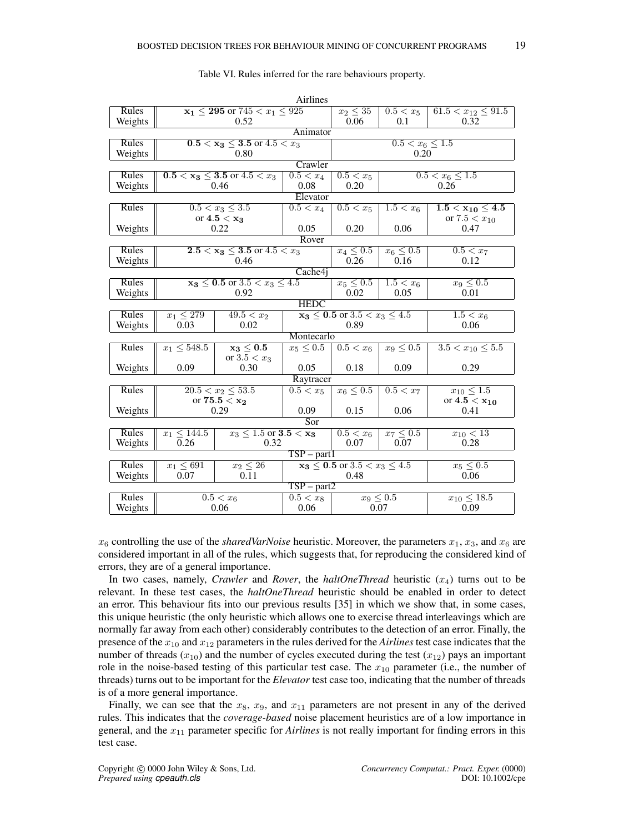|              | Airlines                             |                                        |                |                                                                   |                      |                            |  |  |  |
|--------------|--------------------------------------|----------------------------------------|----------------|-------------------------------------------------------------------|----------------------|----------------------------|--|--|--|
| Rules        |                                      | $x_1 \leq 295$ or $745 < x_1 \leq 925$ |                | $x_2 \leq 35$                                                     | $0.5 < x_5$          | $61.5 < x_{12} \leq 91.5$  |  |  |  |
| Weights      |                                      | 0.52                                   |                | 0.06                                                              | 0.1                  | 0.32                       |  |  |  |
|              |                                      |                                        | Animator       |                                                                   |                      |                            |  |  |  |
| Rules        |                                      | $0.5 < x_3 \leq 3.5$ or $4.5 < x_3$    |                |                                                                   | $0.5 < x_6 \leq 1.5$ |                            |  |  |  |
| Weights      | 0.80<br>0.20                         |                                        |                |                                                                   |                      |                            |  |  |  |
|              | Crawler                              |                                        |                |                                                                   |                      |                            |  |  |  |
| Rules        |                                      | $0.5 < x_3 \leq 3.5$ or $4.5 < x_3$    | $0.5 < x_4$    | $\overline{0.5} < x_5$                                            |                      | $0.5 < x_6 \leq 1.5$       |  |  |  |
| Weights      |                                      | 0.46                                   | 0.08           | 0.20                                                              |                      | 0.26                       |  |  |  |
|              |                                      |                                        | Elevator       |                                                                   |                      |                            |  |  |  |
| Rules        |                                      | $0.5 < x_3 \leq 3.5$                   | $0.5 < x_4$    | $0.5 < x_5$                                                       | $1.5 < x_6$          | $1.5<\text{x}_{10}\leq4.5$ |  |  |  |
|              |                                      | or $4.5 < x_3$                         |                |                                                                   |                      | or $7.5 < x_{10}$          |  |  |  |
| Weights      |                                      | 0.22                                   | 0.05           | 0.20                                                              | 0.06                 | 0.47                       |  |  |  |
|              |                                      |                                        | Rover          |                                                                   |                      |                            |  |  |  |
| <b>Rules</b> |                                      | $2.5 < x_3 \leq 3.5$ or $4.5 < x_3$    |                | $x_4 \leq 0.5$                                                    | $x_6 \leq 0.5$       | $0.5 < x_7$                |  |  |  |
| Weights      |                                      | 0.46                                   |                | 0.26                                                              | 0.16                 | 0.12                       |  |  |  |
|              |                                      |                                        | Cache4j        |                                                                   |                      |                            |  |  |  |
| <b>Rules</b> | $x_3 \le 0.5$ or $3.5 < x_3 \le 4.5$ |                                        | $x_5 \leq 0.5$ | $1.5 < x_6$                                                       | $x_9 \leq 0.5$       |                            |  |  |  |
| Weights      |                                      | 0.92                                   |                | 0.02                                                              | 0.05                 | 0.01                       |  |  |  |
|              |                                      |                                        | <b>HEDC</b>    |                                                                   |                      |                            |  |  |  |
| Rules        | $x_1 \leq 279$                       | $49.5 < x_2$                           |                | $\mathbf{x_3} \leq \mathbf{0.5} \text{ or } 3.5 < x_3 \leq 4.5$   |                      | $1.5 < x_6$                |  |  |  |
| Weights      | 0.03                                 | 0.02                                   |                | 0.89                                                              |                      | 0.06                       |  |  |  |
|              |                                      |                                        | Montecarlo     |                                                                   |                      |                            |  |  |  |
| Rules        | $x_1 \leq 548.5$                     | $\mathbf{x_3} \leq \mathbf{0.5}$       | $x_5 \leq 0.5$ | $0.5 < x_6$                                                       | $x_9 \leq 0.5$       | $3.5 < x_{10} \leq 5.5$    |  |  |  |
|              |                                      | or $3.5 < x_3$                         |                |                                                                   |                      |                            |  |  |  |
| Weights      | 0.09                                 | 0.30                                   | 0.05           | 0.18                                                              | 0.09                 | 0.29                       |  |  |  |
|              |                                      |                                        | Raytracer      |                                                                   |                      |                            |  |  |  |
| Rules        |                                      | $20.5 < x_2 \leq 53.5$                 | $0.5 < x_5$    | $x_6 \leq 0.5$                                                    | $0.5 < x_7$          | $x_{10} \le 1.5$           |  |  |  |
|              |                                      | or $75.5 < x_2$                        |                |                                                                   |                      | or $4.5 < x_{10}$          |  |  |  |
| Weights      |                                      | 0.29                                   | 0.09           | 0.15                                                              | 0.06                 | 0.41                       |  |  |  |
|              |                                      |                                        | Sor            |                                                                   |                      |                            |  |  |  |
| Rules        | $x_1 \le 144.5$                      | $x_3 \le 1.5$ or $3.5 < x_3$           |                | $0.5 < x_6$                                                       | $x_7 \leq 0.5$       | $x_{10} < 13$              |  |  |  |
| Weights      | 0.26                                 | 0.32                                   |                | 0.07                                                              | 0.07                 | 0.28                       |  |  |  |
|              |                                      |                                        | $TSP - part1$  |                                                                   |                      |                            |  |  |  |
| Rules        | $x_1 \leq 691$                       | $x_2 \leq 26$                          |                | $\overline{\mathbf{x_3} \leq 0.5 \text{ or } 3.5} < x_3 \leq 4.5$ |                      | $x_5 \leq 0.5$             |  |  |  |
| Weights      | 0.07                                 | 0.11                                   |                | 0.48                                                              |                      | 0.06                       |  |  |  |
|              |                                      |                                        | $TSP - part2$  |                                                                   |                      |                            |  |  |  |
| Rules        |                                      | $\overline{0.5} < x_6$                 | $0.5 < x_8$    |                                                                   | $x_9 \leq 0.5$       | $x_{10} \leq 18.5$         |  |  |  |
| Weights      |                                      | 0.06                                   | 0.06           | 0.07                                                              |                      | 0.09                       |  |  |  |

#### Table VI. Rules inferred for the rare behaviours property.

 $x_6$  controlling the use of the *sharedVarNoise* heuristic. Moreover, the parameters  $x_1, x_3$ , and  $x_6$  are considered important in all of the rules, which suggests that, for reproducing the considered kind of errors, they are of a general importance.

In two cases, namely, *Crawler* and *Rover*, the *haltOneThread* heuristic  $(x_4)$  turns out to be relevant. In these test cases, the *haltOneThread* heuristic should be enabled in order to detect an error. This behaviour fits into our previous results [35] in which we show that, in some cases, this unique heuristic (the only heuristic which allows one to exercise thread interleavings which are normally far away from each other) considerably contributes to the detection of an error. Finally, the presence of the x<sup>10</sup> and x<sup>12</sup> parameters in the rules derived for the *Airlines* test case indicates that the number of threads  $(x_{10})$  and the number of cycles executed during the test  $(x_{12})$  pays an important role in the noise-based testing of this particular test case. The  $x_{10}$  parameter (i.e., the number of threads) turns out to be important for the *Elevator* test case too, indicating that the number of threads is of a more general importance.

Finally, we can see that the  $x_8$ ,  $x_9$ , and  $x_{11}$  parameters are not present in any of the derived rules. This indicates that the *coverage-based* noise placement heuristics are of a low importance in general, and the  $x_{11}$  parameter specific for *Airlines* is not really important for finding errors in this test case.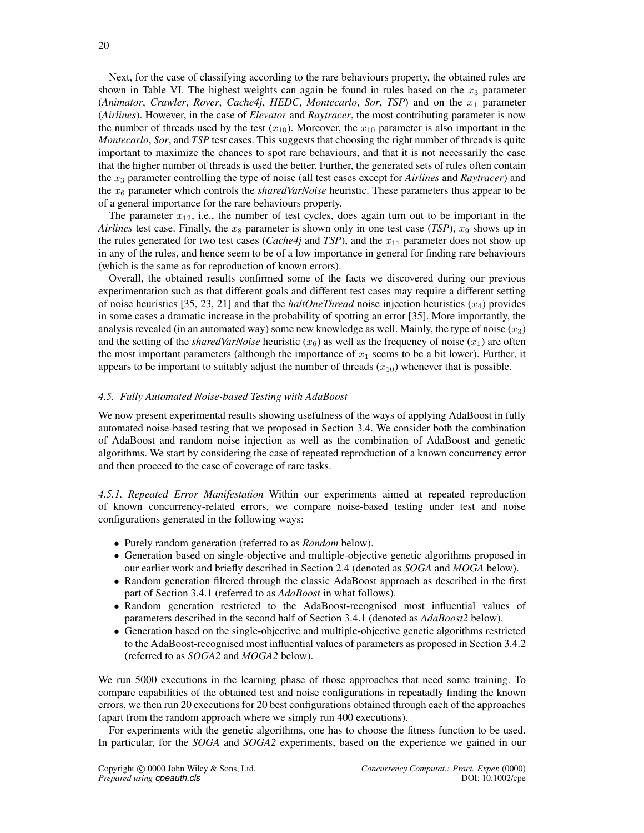Next, for the case of classifying according to the rare behaviours property, the obtained rules are shown in Table VI. The highest weights can again be found in rules based on the  $x_3$  parameter (*Animator*, *Crawler*, *Rover*, *Cache4j*, *HEDC*, *Montecarlo*, *Sor*, *TSP*) and on the x<sup>1</sup> parameter (*Airlines*). However, in the case of *Elevator* and *Raytracer*, the most contributing parameter is now the number of threads used by the test  $(x_{10})$ . Moreover, the  $x_{10}$  parameter is also important in the *Montecarlo*, *Sor*, and *TSP* test cases. This suggests that choosing the right number of threads is quite important to maximize the chances to spot rare behaviours, and that it is not necessarily the case that the higher number of threads is used the better. Further, the generated sets of rules often contain the x<sup>3</sup> parameter controlling the type of noise (all test cases except for *Airlines* and *Raytracer*) and the x<sup>6</sup> parameter which controls the *sharedVarNoise* heuristic. These parameters thus appear to be of a general importance for the rare behaviours property.

The parameter  $x_{12}$ , i.e., the number of test cycles, does again turn out to be important in the *Airlines* test case. Finally, the  $x_8$  parameter is shown only in one test case (*TSP*),  $x_9$  shows up in the rules generated for two test cases (*Cache4j* and *TSP*), and the  $x_{11}$  parameter does not show up in any of the rules, and hence seem to be of a low importance in general for finding rare behaviours (which is the same as for reproduction of known errors).

Overall, the obtained results confirmed some of the facts we discovered during our previous experimentation such as that different goals and different test cases may require a different setting of noise heuristics  $[35, 23, 21]$  and that the *haltOneThread* noise injection heuristics  $(x_4)$  provides in some cases a dramatic increase in the probability of spotting an error [35]. More importantly, the analysis revealed (in an automated way) some new knowledge as well. Mainly, the type of noise  $(x_3)$ and the setting of the *sharedVarNoise* heuristic  $(x<sub>6</sub>)$  as well as the frequency of noise  $(x<sub>1</sub>)$  are often the most important parameters (although the importance of  $x_1$  seems to be a bit lower). Further, it appears to be important to suitably adjust the number of threads  $(x_{10})$  whenever that is possible.

#### *4.5. Fully Automated Noise-based Testing with AdaBoost*

We now present experimental results showing usefulness of the ways of applying AdaBoost in fully automated noise-based testing that we proposed in Section 3.4. We consider both the combination of AdaBoost and random noise injection as well as the combination of AdaBoost and genetic algorithms. We start by considering the case of repeated reproduction of a known concurrency error and then proceed to the case of coverage of rare tasks.

*4.5.1. Repeated Error Manifestation* Within our experiments aimed at repeated reproduction of known concurrency-related errors, we compare noise-based testing under test and noise configurations generated in the following ways:

- Purely random generation (referred to as *Random* below).
- Generation based on single-objective and multiple-objective genetic algorithms proposed in our earlier work and briefly described in Section 2.4 (denoted as *SOGA* and *MOGA* below).
- Random generation filtered through the classic AdaBoost approach as described in the first part of Section 3.4.1 (referred to as *AdaBoost* in what follows).
- Random generation restricted to the AdaBoost-recognised most influential values of parameters described in the second half of Section 3.4.1 (denoted as *AdaBoost2* below).
- Generation based on the single-objective and multiple-objective genetic algorithms restricted to the AdaBoost-recognised most influential values of parameters as proposed in Section 3.4.2 (referred to as *SOGA2* and *MOGA2* below).

We run 5000 executions in the learning phase of those approaches that need some training. To compare capabilities of the obtained test and noise configurations in repeatadly finding the known errors, we then run 20 executions for 20 best configurations obtained through each of the approaches (apart from the random approach where we simply run 400 executions).

For experiments with the genetic algorithms, one has to choose the fitness function to be used. In particular, for the *SOGA* and *SOGA2* experiments, based on the experience we gained in our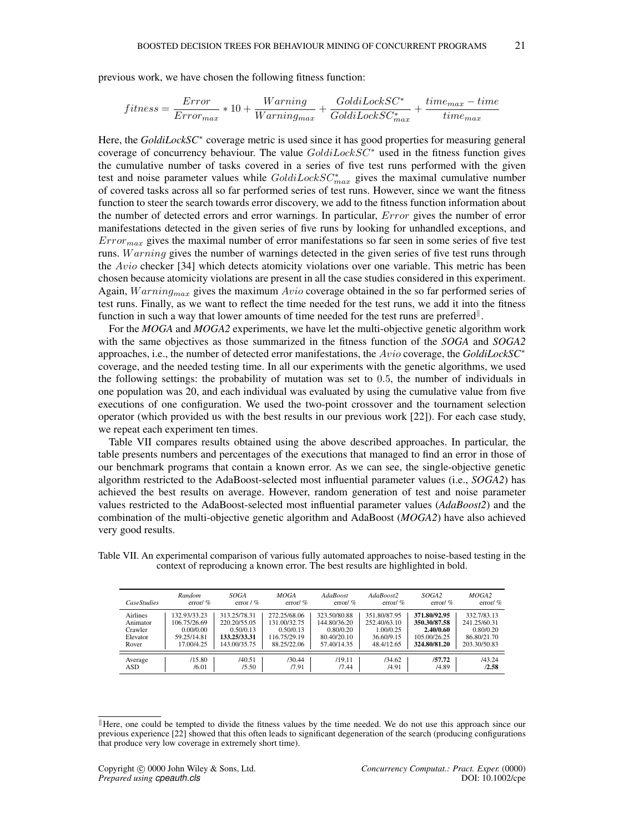previous work, we have chosen the following fitness function:

$$
fitness = \frac{Error}{Error_{max}} * 10 + \frac{Warning_{max}}{Warning_{max}} + \frac{GoldiLockSC^*}{GoldiLockSC^*_{max}} + \frac{time_{max} - time}{time_{max}}
$$

Here, the *GoldiLockSC*<sup>\*</sup> coverage metric is used since it has good properties for measuring general coverage of concurrency behaviour. The value  $GoldillockSC^*$  used in the fitness function gives the cumulative number of tasks covered in a series of five test runs performed with the given test and noise parameter values while  $GoldilLockSC^*_{max}$  gives the maximal cumulative number of covered tasks across all so far performed series of test runs. However, since we want the fitness function to steer the search towards error discovery, we add to the fitness function information about the number of detected errors and error warnings. In particular, Error gives the number of error manifestations detected in the given series of five runs by looking for unhandled exceptions, and  $Error_{max}$  gives the maximal number of error manifestations so far seen in some series of five test runs. Warning gives the number of warnings detected in the given series of five test runs through the Avio checker [34] which detects atomicity violations over one variable. This metric has been chosen because atomicity violations are present in all the case studies considered in this experiment. Again,  $Warning_{max}$  gives the maximum Avio coverage obtained in the so far performed series of test runs. Finally, as we want to reflect the time needed for the test runs, we add it into the fitness function in such a way that lower amounts of time needed for the test runs are preferred<sup>||</sup>.

For the *MOGA* and *MOGA2* experiments, we have let the multi-objective genetic algorithm work with the same objectives as those summarized in the fitness function of the *SOGA* and *SOGA2* approaches, i.e., the number of detected error manifestations, the Avio coverage, the *GoldiLockSC*<sup>∗</sup> coverage, and the needed testing time. In all our experiments with the genetic algorithms, we used the following settings: the probability of mutation was set to 0.5, the number of individuals in one population was 20, and each individual was evaluated by using the cumulative value from five executions of one configuration. We used the two-point crossover and the tournament selection operator (which provided us with the best results in our previous work [22]). For each case study, we repeat each experiment ten times.

Table VII compares results obtained using the above described approaches. In particular, the table presents numbers and percentages of the executions that managed to find an error in those of our benchmark programs that contain a known error. As we can see, the single-objective genetic algorithm restricted to the AdaBoost-selected most influential parameter values (i.e., *SOGA2*) has achieved the best results on average. However, random generation of test and noise parameter values restricted to the AdaBoost-selected most influential parameter values (*AdaBoost2*) and the combination of the multi-objective genetic algorithm and AdaBoost (*MOGA2*) have also achieved very good results.

| <b>CaseStudies</b> | <b>Random</b> | SOGA         | <b>MOGA</b>  | <b>AdaBoost</b> | AdaBoost2    | SOGA2        | <i>MOGA2</i> |
|--------------------|---------------|--------------|--------------|-----------------|--------------|--------------|--------------|
|                    | error/ $\%$   | error $/$ %  | error/ $\%$  | error/ $\%$     | error/ $\%$  | error/ $%$   | error/ $%$   |
| <b>Airlines</b>    | 132.93/33.23  | 313.25/78.31 | 272.25/68.06 | 323.50/80.88    | 351.80/87.95 | 371.80/92.95 | 332.7/83.13  |
| Animator           | 106.75/26.69  | 220.20/55.05 | 131.00/32.75 | 144.80/36.20    | 252.40/63.10 | 350.30/87.58 | 241.25/60.31 |
| Crawler            | 0.00/0.00     | 0.50/0.13    | 0.50/0.13    | 0.80/0.20       | 1.00/0.25    | 2.40/0.60    | 0.80/0.20    |
| Elevator           | 59.25/14.81   | 133.25/33.31 | 116.75/29.19 | 80.40/20.10     | 36.60/9.15   | 105.00/26.25 | 86.80/21.70  |
| Rover              | 17.00/4.25    | 143.00/35.75 | 88.25/22.06  | 57.40/14.35     | 48.4/12.65   | 324.80/81.20 | 203.30/50.83 |
| Average            | /15.80        | /40.51       | /30.44       | /19.11          | 134.62       | 157.72       | /43.24       |
| ASD                | /6.01         | /5.50        | /7.91        | /7.44           | /4.91        | /4.89        | /2.58        |

Table VII. An experimental comparison of various fully automated approaches to noise-based testing in the context of reproducing a known error. The best results are highlighted in bold.

Here, one could be tempted to divide the fitness values by the time needed. We do not use this approach since our previous experience [22] showed that this often leads to significant degeneration of the search (producing configurations that produce very low coverage in extremely short time).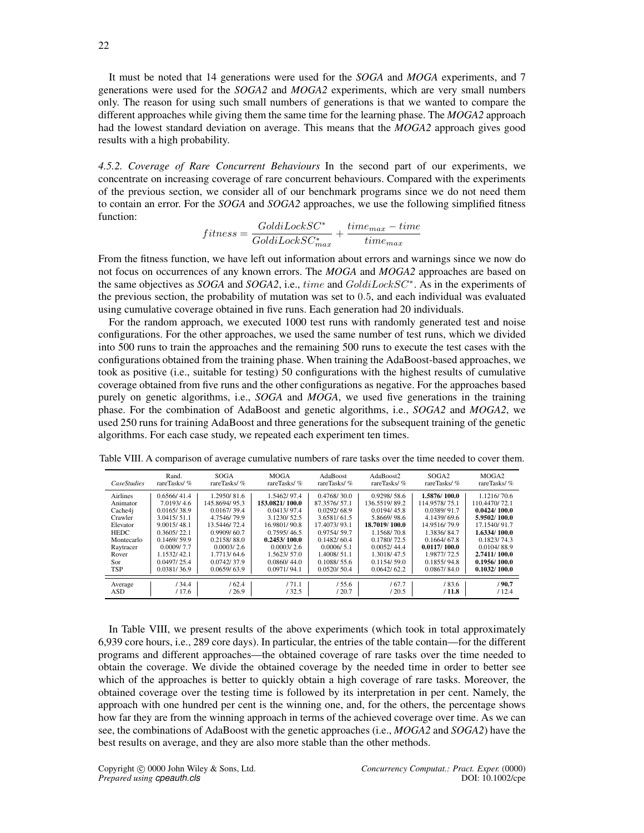It must be noted that 14 generations were used for the *SOGA* and *MOGA* experiments, and 7 generations were used for the *SOGA2* and *MOGA2* experiments, which are very small numbers only. The reason for using such small numbers of generations is that we wanted to compare the different approaches while giving them the same time for the learning phase. The *MOGA2* approach had the lowest standard deviation on average. This means that the *MOGA2* approach gives good results with a high probability.

*4.5.2. Coverage of Rare Concurrent Behaviours* In the second part of our experiments, we concentrate on increasing coverage of rare concurrent behaviours. Compared with the experiments of the previous section, we consider all of our benchmark programs since we do not need them to contain an error. For the *SOGA* and *SOGA2* approaches, we use the following simplified fitness function:

$$
fitness = \frac{GoldilLockSC^*}{GoldilLockSC^*_{max}} + \frac{time_{max} - time}{time_{max}}
$$

From the fitness function, we have left out information about errors and warnings since we now do not focus on occurrences of any known errors. The *MOGA* and *MOGA2* approaches are based on the same objectives as *SOGA* and *SOGA2*, i.e., time and GoldiLockSC<sup>∗</sup> . As in the experiments of the previous section, the probability of mutation was set to 0.5, and each individual was evaluated using cumulative coverage obtained in five runs. Each generation had 20 individuals.

For the random approach, we executed 1000 test runs with randomly generated test and noise configurations. For the other approaches, we used the same number of test runs, which we divided into 500 runs to train the approaches and the remaining 500 runs to execute the test cases with the configurations obtained from the training phase. When training the AdaBoost-based approaches, we took as positive (i.e., suitable for testing) 50 configurations with the highest results of cumulative coverage obtained from five runs and the other configurations as negative. For the approaches based purely on genetic algorithms, i.e., *SOGA* and *MOGA*, we used five generations in the training phase. For the combination of AdaBoost and genetic algorithms, i.e., *SOGA2* and *MOGA2*, we used 250 runs for training AdaBoost and three generations for the subsequent training of the genetic algorithms. For each case study, we repeated each experiment ten times.

| <b>CaseStudies</b> | Rand.          | SOGA           | MOGA           | AdaBoost     | AdaBoost2     | SOGA <sub>2</sub> | MOGA <sub>2</sub> |
|--------------------|----------------|----------------|----------------|--------------|---------------|-------------------|-------------------|
|                    | rareTasks/ $%$ | rareTasks/ $%$ | rareTasks/%    | rareTasks/%  | rareTasks/%   | rareTasks/%       | rareTasks/%       |
| <b>Airlines</b>    | 0.6566/41.4    | 1.2950/81.6    | 1.5462/97.4    | 0.4768/30.0  | 0.9298/58.6   | 1.5876/100.0      | 1.1216/70.6       |
| Animator           | 7.0193/4.6     | 145.8694/95.3  | 153.0821/100.0 | 87.3576/57.1 | 136.5519/89.2 | 114.9578/75.1     | 110.4470/72.1     |
| Cache4j            | 0.0165/38.9    | 0.0167/39.4    | 0.0413/97.4    | 0.0292/68.9  | 0.0194/45.8   | 0.0389/91.7       | 0.0424/100.0      |
| Crawler            | 3.0415/51.1    | 4.7546/79.9    | 3.1230/52.5    | 3.6581/61.5  | 5.8669/98.6   | 4.1439/69.6       | 5.9502/100.0      |
| Elevator           | 9.0015/48.1    | 13.5446/72.4   | 16.9801/90.8   | 17.4073/93.1 | 18.7019/100.0 | 14.9516/79.9      | 17.1540/91.7      |
| <b>HEDC</b>        | 0.3605/22.1    | 0.9909/60.7    | 0.7595/46.5    | 0.9754/59.7  | 1.1568/70.8   | 1.3836/84.7       | 1.6334/100.0      |
| Montecarlo         | 0.1469/59.9    | 0.2158/88.0    | 0.2453/100.0   | 0.1482/60.4  | 0.1780/72.5   | 0.1664/67.8       | 0.1823/74.3       |
| Raytracer          | 0.0009/7.7     | 0.0003/2.6     | 0.0003/2.6     | 0.0006/5.1   | 0.0052/44.4   | 0.0117/100.0      | 0.0104/88.9       |
| Rover              | 1.1532/42.1    | 1.7713/64.6    | 1.5623/57.0    | 1.4008/51.1  | 1.3018/47.5   | 1.9877/72.5       | 2.7411/100.0      |
| Sor                | 0.0497/25.4    | 0.0742/37.9    | 0.0860/44.0    | 0.1088/55.6  | 0.1154/59.0   | 0.1855/94.8       | 0.1956/100.0      |
| <b>TSP</b>         | 0.0381/36.9    | 0.0659/63.9    | 0.0971/94.1    | 0.0520/50.4  | 0.0642/62.2   | 0.0867/84.0       | 0.1032/100.0      |
| Average            | /34.4          | /62.4          | /71.1          | / 55.6       | /67.7         | /83.6             | /90.7             |
| ASD                | / 17.6         | /26.9          | 132.5          | /20.7        | / 20.5        | /11.8             | /12.4             |

Table VIII. A comparison of average cumulative numbers of rare tasks over the time needed to cover them.

In Table VIII, we present results of the above experiments (which took in total approximately 6,939 core hours, i.e., 289 core days). In particular, the entries of the table contain—for the different programs and different approaches—the obtained coverage of rare tasks over the time needed to obtain the coverage. We divide the obtained coverage by the needed time in order to better see which of the approaches is better to quickly obtain a high coverage of rare tasks. Moreover, the obtained coverage over the testing time is followed by its interpretation in per cent. Namely, the approach with one hundred per cent is the winning one, and, for the others, the percentage shows how far they are from the winning approach in terms of the achieved coverage over time. As we can see, the combinations of AdaBoost with the genetic approaches (i.e., *MOGA2* and *SOGA2*) have the best results on average, and they are also more stable than the other methods.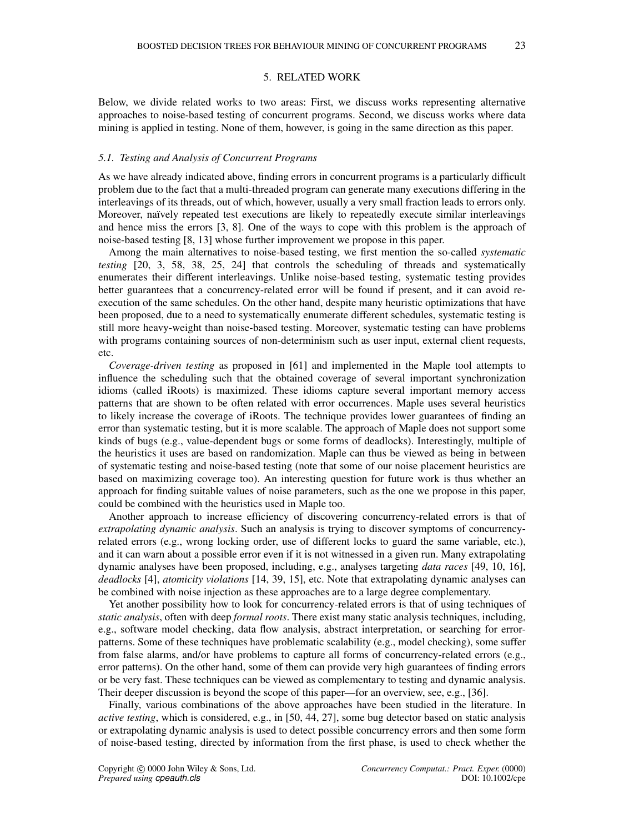#### 5. RELATED WORK

Below, we divide related works to two areas: First, we discuss works representing alternative approaches to noise-based testing of concurrent programs. Second, we discuss works where data mining is applied in testing. None of them, however, is going in the same direction as this paper.

## *5.1. Testing and Analysis of Concurrent Programs*

As we have already indicated above, finding errors in concurrent programs is a particularly difficult problem due to the fact that a multi-threaded program can generate many executions differing in the interleavings of its threads, out of which, however, usually a very small fraction leads to errors only. Moreover, naïvely repeated test executions are likely to repeatedly execute similar interleavings and hence miss the errors [3, 8]. One of the ways to cope with this problem is the approach of noise-based testing [8, 13] whose further improvement we propose in this paper.

Among the main alternatives to noise-based testing, we first mention the so-called *systematic testing* [20, 3, 58, 38, 25, 24] that controls the scheduling of threads and systematically enumerates their different interleavings. Unlike noise-based testing, systematic testing provides better guarantees that a concurrency-related error will be found if present, and it can avoid reexecution of the same schedules. On the other hand, despite many heuristic optimizations that have been proposed, due to a need to systematically enumerate different schedules, systematic testing is still more heavy-weight than noise-based testing. Moreover, systematic testing can have problems with programs containing sources of non-determinism such as user input, external client requests, etc.

*Coverage-driven testing* as proposed in [61] and implemented in the Maple tool attempts to influence the scheduling such that the obtained coverage of several important synchronization idioms (called iRoots) is maximized. These idioms capture several important memory access patterns that are shown to be often related with error occurrences. Maple uses several heuristics to likely increase the coverage of iRoots. The technique provides lower guarantees of finding an error than systematic testing, but it is more scalable. The approach of Maple does not support some kinds of bugs (e.g., value-dependent bugs or some forms of deadlocks). Interestingly, multiple of the heuristics it uses are based on randomization. Maple can thus be viewed as being in between of systematic testing and noise-based testing (note that some of our noise placement heuristics are based on maximizing coverage too). An interesting question for future work is thus whether an approach for finding suitable values of noise parameters, such as the one we propose in this paper, could be combined with the heuristics used in Maple too.

Another approach to increase efficiency of discovering concurrency-related errors is that of *extrapolating dynamic analysis*. Such an analysis is trying to discover symptoms of concurrencyrelated errors (e.g., wrong locking order, use of different locks to guard the same variable, etc.), and it can warn about a possible error even if it is not witnessed in a given run. Many extrapolating dynamic analyses have been proposed, including, e.g., analyses targeting *data races* [49, 10, 16], *deadlocks* [4], *atomicity violations* [14, 39, 15], etc. Note that extrapolating dynamic analyses can be combined with noise injection as these approaches are to a large degree complementary.

Yet another possibility how to look for concurrency-related errors is that of using techniques of *static analysis*, often with deep *formal roots*. There exist many static analysis techniques, including, e.g., software model checking, data flow analysis, abstract interpretation, or searching for errorpatterns. Some of these techniques have problematic scalability (e.g., model checking), some suffer from false alarms, and/or have problems to capture all forms of concurrency-related errors (e.g., error patterns). On the other hand, some of them can provide very high guarantees of finding errors or be very fast. These techniques can be viewed as complementary to testing and dynamic analysis. Their deeper discussion is beyond the scope of this paper—for an overview, see, e.g., [36].

Finally, various combinations of the above approaches have been studied in the literature. In *active testing*, which is considered, e.g., in [50, 44, 27], some bug detector based on static analysis or extrapolating dynamic analysis is used to detect possible concurrency errors and then some form of noise-based testing, directed by information from the first phase, is used to check whether the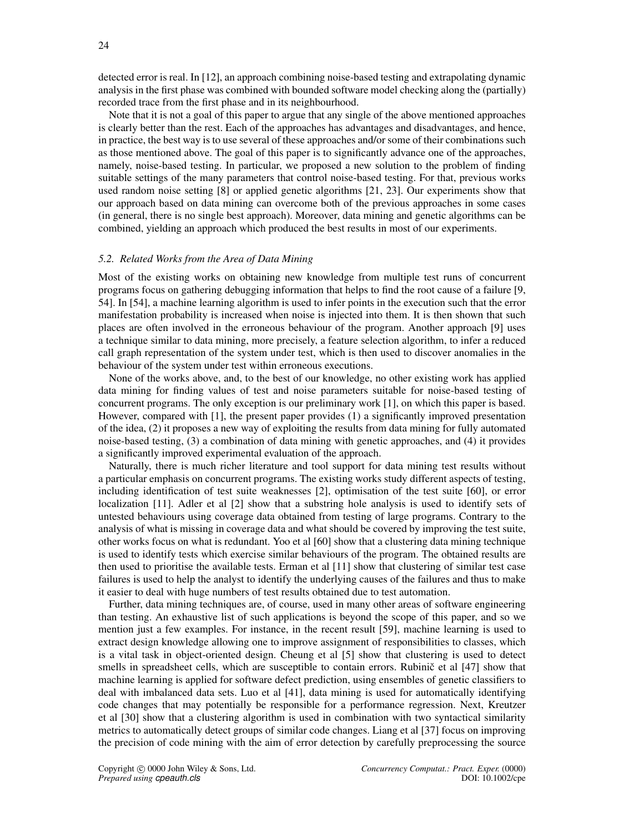detected error is real. In [12], an approach combining noise-based testing and extrapolating dynamic analysis in the first phase was combined with bounded software model checking along the (partially) recorded trace from the first phase and in its neighbourhood.

Note that it is not a goal of this paper to argue that any single of the above mentioned approaches is clearly better than the rest. Each of the approaches has advantages and disadvantages, and hence, in practice, the best way is to use several of these approaches and/or some of their combinations such as those mentioned above. The goal of this paper is to significantly advance one of the approaches, namely, noise-based testing. In particular, we proposed a new solution to the problem of finding suitable settings of the many parameters that control noise-based testing. For that, previous works used random noise setting [8] or applied genetic algorithms [21, 23]. Our experiments show that our approach based on data mining can overcome both of the previous approaches in some cases (in general, there is no single best approach). Moreover, data mining and genetic algorithms can be combined, yielding an approach which produced the best results in most of our experiments.

## *5.2. Related Works from the Area of Data Mining*

Most of the existing works on obtaining new knowledge from multiple test runs of concurrent programs focus on gathering debugging information that helps to find the root cause of a failure [9, 54]. In [54], a machine learning algorithm is used to infer points in the execution such that the error manifestation probability is increased when noise is injected into them. It is then shown that such places are often involved in the erroneous behaviour of the program. Another approach [9] uses a technique similar to data mining, more precisely, a feature selection algorithm, to infer a reduced call graph representation of the system under test, which is then used to discover anomalies in the behaviour of the system under test within erroneous executions.

None of the works above, and, to the best of our knowledge, no other existing work has applied data mining for finding values of test and noise parameters suitable for noise-based testing of concurrent programs. The only exception is our preliminary work [1], on which this paper is based. However, compared with [1], the present paper provides (1) a significantly improved presentation of the idea, (2) it proposes a new way of exploiting the results from data mining for fully automated noise-based testing, (3) a combination of data mining with genetic approaches, and (4) it provides a significantly improved experimental evaluation of the approach.

Naturally, there is much richer literature and tool support for data mining test results without a particular emphasis on concurrent programs. The existing works study different aspects of testing, including identification of test suite weaknesses [2], optimisation of the test suite [60], or error localization [11]. Adler et al [2] show that a substring hole analysis is used to identify sets of untested behaviours using coverage data obtained from testing of large programs. Contrary to the analysis of what is missing in coverage data and what should be covered by improving the test suite, other works focus on what is redundant. Yoo et al [60] show that a clustering data mining technique is used to identify tests which exercise similar behaviours of the program. The obtained results are then used to prioritise the available tests. Erman et al [11] show that clustering of similar test case failures is used to help the analyst to identify the underlying causes of the failures and thus to make it easier to deal with huge numbers of test results obtained due to test automation.

Further, data mining techniques are, of course, used in many other areas of software engineering than testing. An exhaustive list of such applications is beyond the scope of this paper, and so we mention just a few examples. For instance, in the recent result [59], machine learning is used to extract design knowledge allowing one to improve assignment of responsibilities to classes, which is a vital task in object-oriented design. Cheung et al [5] show that clustering is used to detect smells in spreadsheet cells, which are susceptible to contain errors. Rubinic et al [47] show that machine learning is applied for software defect prediction, using ensembles of genetic classifiers to deal with imbalanced data sets. Luo et al [41], data mining is used for automatically identifying code changes that may potentially be responsible for a performance regression. Next, Kreutzer et al [30] show that a clustering algorithm is used in combination with two syntactical similarity metrics to automatically detect groups of similar code changes. Liang et al [37] focus on improving the precision of code mining with the aim of error detection by carefully preprocessing the source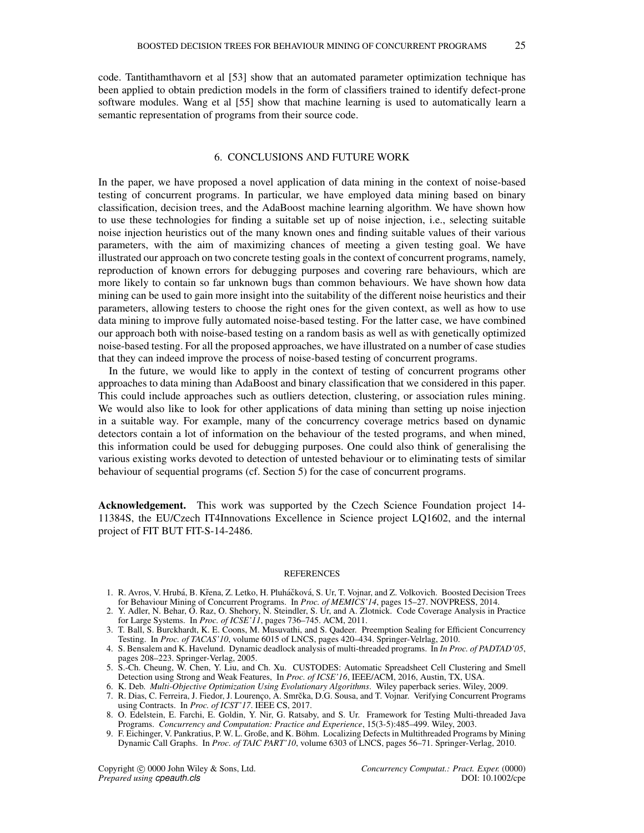code. Tantithamthavorn et al [53] show that an automated parameter optimization technique has been applied to obtain prediction models in the form of classifiers trained to identify defect-prone software modules. Wang et al [55] show that machine learning is used to automatically learn a semantic representation of programs from their source code.

# 6. CONCLUSIONS AND FUTURE WORK

In the paper, we have proposed a novel application of data mining in the context of noise-based testing of concurrent programs. In particular, we have employed data mining based on binary classification, decision trees, and the AdaBoost machine learning algorithm. We have shown how to use these technologies for finding a suitable set up of noise injection, i.e., selecting suitable noise injection heuristics out of the many known ones and finding suitable values of their various parameters, with the aim of maximizing chances of meeting a given testing goal. We have illustrated our approach on two concrete testing goals in the context of concurrent programs, namely, reproduction of known errors for debugging purposes and covering rare behaviours, which are more likely to contain so far unknown bugs than common behaviours. We have shown how data mining can be used to gain more insight into the suitability of the different noise heuristics and their parameters, allowing testers to choose the right ones for the given context, as well as how to use data mining to improve fully automated noise-based testing. For the latter case, we have combined our approach both with noise-based testing on a random basis as well as with genetically optimized noise-based testing. For all the proposed approaches, we have illustrated on a number of case studies that they can indeed improve the process of noise-based testing of concurrent programs.

In the future, we would like to apply in the context of testing of concurrent programs other approaches to data mining than AdaBoost and binary classification that we considered in this paper. This could include approaches such as outliers detection, clustering, or association rules mining. We would also like to look for other applications of data mining than setting up noise injection in a suitable way. For example, many of the concurrency coverage metrics based on dynamic detectors contain a lot of information on the behaviour of the tested programs, and when mined, this information could be used for debugging purposes. One could also think of generalising the various existing works devoted to detection of untested behaviour or to eliminating tests of similar behaviour of sequential programs (cf. Section 5) for the case of concurrent programs.

Acknowledgement. This work was supported by the Czech Science Foundation project 14- 11384S, the EU/Czech IT4Innovations Excellence in Science project LQ1602, and the internal project of FIT BUT FIT-S-14-2486.

#### **REFERENCES**

- 1. R. Avros, V. Hrubá, B. Křena, Z. Letko, H. Pluháčková, S. Ur, T. Vojnar, and Z. Volkovich. Boosted Decision Trees for Behaviour Mining of Concurrent Programs. In *Proc. of MEMICS'14*, pages 15–27. NOVPRESS, 2014.
- 2. Y. Adler, N. Behar, O. Raz, O. Shehory, N. Steindler, S. Ur, and A. Zlotnick. Code Coverage Analysis in Practice for Large Systems. In *Proc. of ICSE'11*, pages 736–745. ACM, 2011.
- 3. T. Ball, S. Burckhardt, K. E. Coons, M. Musuvathi, and S. Qadeer. Preemption Sealing for Efficient Concurrency Testing. In *Proc. of TACAS'10*, volume 6015 of LNCS, pages 420–434. Springer-Velrlag, 2010.
- 4. S. Bensalem and K. Havelund. Dynamic deadlock analysis of multi-threaded programs. In *In Proc. of PADTAD'05*, pages 208–223. Springer-Verlag, 2005.
- 5. S.-Ch. Cheung, W. Chen, Y. Liu, and Ch. Xu. CUSTODES: Automatic Spreadsheet Cell Clustering and Smell Detection using Strong and Weak Features, In *Proc. of ICSE'16*, IEEE/ACM, 2016, Austin, TX, USA.
- 6. K. Deb. *Multi-Objective Optimization Using Evolutionary Algorithms*. Wiley paperback series. Wiley, 2009.
- 7. R. Dias, C. Ferreira, J. Fiedor, J. Lourenço, A. Smrčka, D.G. Sousa, and T. Vojnar. Verifying Concurrent Programs using Contracts. In *Proc. of ICST'17*. IEEE CS, 2017.
- 8. O. Edelstein, E. Farchi, E. Goldin, Y. Nir, G. Ratsaby, and S. Ur. Framework for Testing Multi-threaded Java Programs. *Concurrency and Computation: Practice and Experience*, 15(3-5):485–499. Wiley, 2003.
- 9. F. Eichinger, V. Pankratius, P. W. L. Große, and K. Böhm. Localizing Defects in Multithreaded Programs by Mining Dynamic Call Graphs. In *Proc. of TAIC PART'10*, volume 6303 of LNCS, pages 56–71. Springer-Verlag, 2010.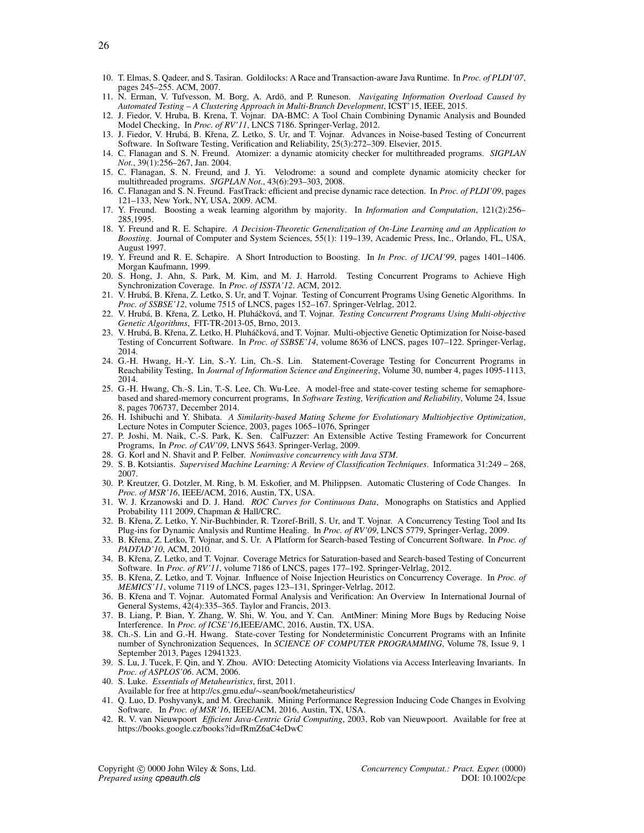- 10. T. Elmas, S. Qadeer, and S. Tasiran. Goldilocks: A Race and Transaction-aware Java Runtime. In *Proc. of PLDI'07*, pages 245–255. ACM, 2007.
- 11. N. Erman, V. Tufvesson, M. Borg, A. Ardo, and P. Runeson. ¨ *Navigating Information Overload Caused by Automated Testing – A Clustering Approach in Multi-Branch Development*, ICST'15, IEEE, 2015.
- 12. J. Fiedor, V. Hruba, B. Krena, T. Vojnar. DA-BMC: A Tool Chain Combining Dynamic Analysis and Bounded Model Checking, In *Proc. of RV'11*, LNCS 7186. Springer-Verlag, 2012.
- 13. J. Fiedor, V. Hrubá, B. Křena, Z. Letko, S. Ur, and T. Vojnar. Advances in Noise-based Testing of Concurrent Software. In Software Testing, Verification and Reliability, 25(3):272–309. Elsevier, 2015.
- 14. C. Flanagan and S. N. Freund. Atomizer: a dynamic atomicity checker for multithreaded programs. *SIGPLAN Not.*, 39(1):256–267, Jan. 2004.
- 15. C. Flanagan, S. N. Freund, and J. Yi. Velodrome: a sound and complete dynamic atomicity checker for multithreaded programs. *SIGPLAN Not.*, 43(6):293–303, 2008.
- 16. C. Flanagan and S. N. Freund. FastTrack: efficient and precise dynamic race detection. In *Proc. of PLDI'09*, pages 121–133, New York, NY, USA, 2009. ACM.
- 17. Y. Freund. Boosting a weak learning algorithm by majority. In *Information and Computation*, 121(2):256– 285,1995.
- 18. Y. Freund and R. E. Schapire. *A Decision-Theoretic Generalization of On-Line Learning and an Application to Boosting*. Journal of Computer and System Sciences, 55(1): 119–139, Academic Press, Inc., Orlando, FL, USA, August 1997.
- 19. Y. Freund and R. E. Schapire. A Short Introduction to Boosting. In *In Proc. of IJCAI'99*, pages 1401–1406. Morgan Kaufmann, 1999.
- 20. S. Hong, J. Ahn, S. Park, M. Kim, and M. J. Harrold. Testing Concurrent Programs to Achieve High Synchronization Coverage. In *Proc. of ISSTA'12*. ACM, 2012.
- 21. V. Hrubá, B. Křena, Z. Letko, S. Ur, and T. Vojnar. Testing of Concurrent Programs Using Genetic Algorithms. In *Proc. of SSBSE'12*, volume 7515 of LNCS, pages 152–167. Springer-Velrlag, 2012.
- 22. V. Hrubá, B. Křena, Z. Letko, H. Pluháčková, and T. Vojnar. *Testing Concurrent Programs Using Multi-objective Genetic Algorithms*, FIT-TR-2013-05, Brno, 2013.
- 23. V. Hrubá, B. Křena, Z. Letko, H. Pluháčková, and T. Vojnar. Multi-objective Genetic Optimization for Noise-based Testing of Concurrent Software. In *Proc. of SSBSE'14*, volume 8636 of LNCS, pages 107–122. Springer-Verlag, 2014.
- 24. G.-H. Hwang, H.-Y. Lin, S.-Y. Lin, Ch.-S. Lin. Statement-Coverage Testing for Concurrent Programs in Reachability Testing, In *Journal of Information Science and Engineering*, Volume 30, number 4, pages 1095-1113, 2014.
- 25. G.-H. Hwang, Ch.-S. Lin, T.-S. Lee, Ch. Wu-Lee. A model-free and state-cover testing scheme for semaphorebased and shared-memory concurrent programs, In *Software Testing, Verification and Reliability*, Volume 24, Issue 8, pages 706737, December 2014.
- 26. H. Ishibuchi and Y. Shibata. *A Similarity-based Mating Scheme for Evolutionary Multiobjective Optimization*, Lecture Notes in Computer Science, 2003, pages 1065–1076, Springer
- 27. P. Joshi, M. Naik, C.-S. Park, K. Sen. CalFuzzer: An Extensible Active Testing Framework for Concurrent Programs, In *Proc. of CAV'09*, LNVS 5643. Springer-Verlag, 2009.
- 28. G. Korl and N. Shavit and P. Felber. *Noninvasive concurrency with Java STM*.
- 29. S. B. Kotsiantis. *Supervised Machine Learning: A Review of Classification Techniques*. Informatica 31:249 268, 2007.
- 30. P. Kreutzer, G. Dotzler, M. Ring, b. M. Eskofier, and M. Philippsen. Automatic Clustering of Code Changes. In *Proc. of MSR'16*, IEEE/ACM, 2016, Austin, TX, USA.
- 31. W. J. Krzanowski and D. J. Hand. *ROC Curves for Continuous Data*, Monographs on Statistics and Applied Probability 111 2009, Chapman & Hall/CRC.
- 32. B. Křena, Z. Letko, Y. Nir-Buchbinder, R. Tzoref-Brill, S. Ur, and T. Vojnar. A Concurrency Testing Tool and Its Plug-ins for Dynamic Analysis and Runtime Healing. In *Proc. of RV'09*, LNCS 5779, Springer-Verlag, 2009.
- 33. B. Kˇrena, Z. Letko, T. Vojnar, and S. Ur. A Platform for Search-based Testing of Concurrent Software. In *Proc. of PADTAD'10*, ACM, 2010.
- 34. B. Křena, Z. Letko, and T. Vojnar. Coverage Metrics for Saturation-based and Search-based Testing of Concurrent Software. In *Proc. of RV'11*, volume 7186 of LNCS, pages 177–192. Springer-Velrlag, 2012.
- 35. B. Kˇrena, Z. Letko, and T. Vojnar. Influence of Noise Injection Heuristics on Concurrency Coverage. In *Proc. of MEMICS'11*, volume 7119 of LNCS, pages 123–131, Springer-Velrlag, 2012.
- 36. B. Křena and T. Vojnar. Automated Formal Analysis and Verification: An Overview In International Journal of General Systems,  $42(4)$ :335-365. Taylor and Francis, 2013.
- 37. B. Liang, P. Bian, Y. Zhang, W. Shi, W. You, and Y. Can. AntMiner: Mining More Bugs by Reducing Noise Interference. In *Proc. of ICSE'16*,IEEE/AMC, 2016, Austin, TX, USA.
- 38. Ch.-S. Lin and G.-H. Hwang. State-cover Testing for Nondeterministic Concurrent Programs with an Infinite number of Synchronization Sequences, In *SCIENCE OF COMPUTER PROGRAMMING*, Volume 78, Issue 9, 1 September 2013, Pages 12941323.
- 39. S. Lu, J. Tucek, F. Qin, and Y. Zhou. AVIO: Detecting Atomicity Violations via Access Interleaving Invariants. In *Proc. of ASPLOS'06*. ACM, 2006.
- 40. S. Luke. *Essentials of Metaheuristics*, first, 2011. Available for free at http://cs.gmu.edu/∼sean/book/metaheuristics/
- 41. Q. Luo, D. Poshyvanyk, and M. Grechanik. Mining Performance Regression Inducing Code Changes in Evolving Software. In *Proc. of MSR'16*, IEEE/ACM, 2016, Austin, TX, USA.
- 42. R. V. van Nieuwpoort *Efficient Java-Centric Grid Computing*, 2003, Rob van Nieuwpoort. Available for free at https://books.google.cz/books?id=fRmZ6aC4eDwC